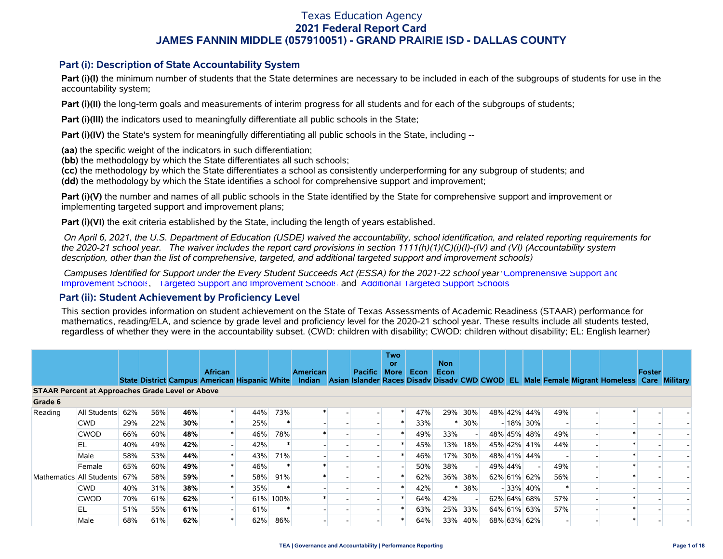### **Part (i): Description of State Accountability System**

Part (i)(I) the minimum number of students that the State determines are necessary to be included in each of the subgroups of students for use in the accountability system;

**Part (i)(II)** the long-term goals and measurements of interim progress for all students and for each of the subgroups of students;

**Part (i)(III)** the indicators used to meaningfully differentiate all public schools in the State;

**Part (i)(IV)** the State's system for meaningfully differentiating all public schools in the State, including --

**(aa)** the specific weight of the indicators in such differentiation;

**(bb)** the methodology by which the State differentiates all such schools;

**(cc)** the methodology by which the State differentiates a school as consistently underperforming for any subgroup of students; and

**(dd)** the methodology by which the State identifies a school for comprehensive support and improvement;

**Part (i)(V)** the number and names of all public schools in the State identified by the State for comprehensive support and improvement or implementing targeted support and improvement plans;

**Part (i)(VI)** the exit criteria established by the State, including the length of years established.

 *On April 6, 2021, the U.S. Department of Education (USDE) waived the accountability, school identification, and related reporting requirements for the 2020-21 school year. The waiver includes the report card provisions in section 1111(h)(1)(C)(i)(I)-(IV) and (VI) (Accountability system description, other than the list of comprehensive, targeted, and additional targeted support and improvement schools)* 

 *Campuses Identified for Support under the Every Student Succeeds Act (ESSA) for the 2021-22 school year:* [Comprehensive Support and](https://tea.texas.gov/sites/default/files/comprehensive_support_2021.xlsx) [Improvement Schools](https://tea.texas.gov/sites/default/files/comprehensive_support_2021.xlsx), [Targeted Support and Improvement Schools](https://tea.texas.gov/sites/default/files/targeted_support_2021.xlsx) and [Additional Targeted Support Schools.](https://tea.texas.gov/sites/default/files/additional_targeted_support_2021.xlsx)

### **Part (ii): Student Achievement by Proficiency Level**

This section provides information on student achievement on the State of Texas Assessments of Academic Readiness (STAAR) performance for mathematics, reading/ELA, and science by grade level and proficiency level for the 2020-21 school year. These results include all students tested, regardless of whether they were in the accountability subset. (CWD: children with disability; CWOD: children without disability; EL: English learner)

|                                                         |              |     |     |     | <b>African</b>                                       |     |          | American | <b>Pacific</b> | <b>Two</b><br><b>or</b><br><b>More</b> | Econ | <b>Non</b><br>Econ |     |         |             |     |                                                                                                  | Foster |  |
|---------------------------------------------------------|--------------|-----|-----|-----|------------------------------------------------------|-----|----------|----------|----------------|----------------------------------------|------|--------------------|-----|---------|-------------|-----|--------------------------------------------------------------------------------------------------|--------|--|
|                                                         |              |     |     |     | <b>State District Campus American Hispanic White</b> |     |          |          |                |                                        |      |                    |     |         |             |     | Indian Asian Islander Races Disady Disady CWD CWOD EL Male Female Migrant Homeless Care Military |        |  |
| <b>STAAR Percent at Approaches Grade Level or Above</b> |              |     |     |     |                                                      |     |          |          |                |                                        |      |                    |     |         |             |     |                                                                                                  |        |  |
| Grade 6                                                 |              |     |     |     |                                                      |     |          |          |                |                                        |      |                    |     |         |             |     |                                                                                                  |        |  |
| Reading                                                 | All Students | 62% | 56% | 46% |                                                      | 44% | 73%      |          |                |                                        | 47%  | 29%                | 30% |         | 48% 42% 44% | 49% |                                                                                                  |        |  |
|                                                         | <b>CWD</b>   | 29% | 22% | 30% |                                                      | 25% |          |          |                |                                        | 33%  |                    | 30% |         | $-18\%$ 30% |     |                                                                                                  |        |  |
|                                                         | <b>CWOD</b>  | 66% | 60% | 48% |                                                      | 46% | 78%      |          |                |                                        | 49%  | 33%                |     |         | 48% 45% 48% | 49% |                                                                                                  |        |  |
|                                                         | EL           | 40% | 49% | 42% |                                                      | 42% |          |          |                |                                        | 45%  | 13%                | 18% |         | 45% 42% 41% | 44% |                                                                                                  |        |  |
|                                                         | Male         | 58% | 53% | 44% |                                                      | 43% | 71%      |          |                |                                        | 46%  | 17%                | 30% |         | 48% 41% 44% |     |                                                                                                  |        |  |
|                                                         | Female       | 65% | 60% | 49% |                                                      | 46% |          |          |                |                                        | 50%  | 38%                |     | 49% 44% |             | 49% |                                                                                                  |        |  |
| Mathematics All Students                                |              | 67% | 58% | 59% |                                                      | 58% | 91%      |          |                |                                        | 62%  | 36%                | 38% |         | 62% 61% 62% | 56% |                                                                                                  |        |  |
|                                                         | <b>CWD</b>   | 40% | 31% | 38% |                                                      | 35% |          |          |                |                                        | 42%  |                    | 38% |         | $-33\%$ 40% |     |                                                                                                  |        |  |
|                                                         | <b>CWOD</b>  | 70% | 61% | 62% |                                                      |     | 61% 100% |          |                |                                        | 64%  | 42%                |     |         | 62% 64% 68% | 57% |                                                                                                  |        |  |
|                                                         | EL           | 51% | 55% | 61% |                                                      | 61% |          |          |                |                                        | 63%  | 25%                | 33% |         | 64% 61% 63% | 57% |                                                                                                  |        |  |
|                                                         | Male         | 68% | 61% | 62% |                                                      | 62% | 86%      |          |                |                                        | 64%  | 33%                | 40% |         | 68% 63% 62% |     |                                                                                                  |        |  |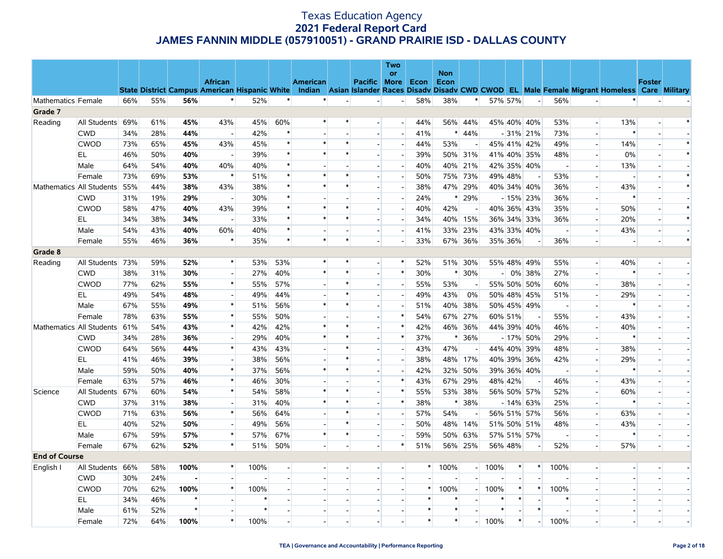|                      |                          |     |     |         |                          |        |        |                 |        |                          | Two<br><b>or</b>         |        | <b>Non</b> |                          |         |         |                          |                          |                          |                                                                                                                                                |               |        |
|----------------------|--------------------------|-----|-----|---------|--------------------------|--------|--------|-----------------|--------|--------------------------|--------------------------|--------|------------|--------------------------|---------|---------|--------------------------|--------------------------|--------------------------|------------------------------------------------------------------------------------------------------------------------------------------------|---------------|--------|
|                      |                          |     |     |         | <b>African</b>           |        |        | <b>American</b> |        | Pacific More Econ        |                          |        | Econ       |                          |         |         |                          |                          |                          |                                                                                                                                                | <b>Foster</b> |        |
|                      |                          |     |     |         |                          |        |        |                 |        |                          |                          |        |            |                          |         |         |                          |                          |                          | State District Campus American Hispanic White Indian Asian Islander Races Disady Disady CWD CWOD EL Male Female Migrant Homeless Care Military |               |        |
| Mathematics Female   |                          | 66% | 55% | 56%     | $\ast$                   | 52%    | $\ast$ | $\ast$          |        |                          | $\overline{\phantom{a}}$ | 58%    | 38%        | $\ast$                   | 57% 57% |         | $\overline{a}$           | 56%                      |                          |                                                                                                                                                |               |        |
| Grade 7              |                          |     |     |         |                          |        |        |                 |        |                          |                          |        |            |                          |         |         |                          |                          |                          |                                                                                                                                                |               |        |
| Reading              | All Students             | 69% | 61% | 45%     | 43%                      | 45%    | 60%    | ∗               | $\ast$ | $\overline{a}$           | $\overline{\phantom{a}}$ | 44%    |            | 56% 44%                  |         |         | 45% 40% 40%              | 53%                      | $\overline{a}$           | 13%                                                                                                                                            |               |        |
|                      | <b>CWD</b>               | 34% | 28% | 44%     | $\overline{a}$           | 42%    | $\ast$ |                 |        | $\overline{\phantom{a}}$ | $\overline{\phantom{a}}$ | 41%    |            | $* 44%$                  |         |         | $-31\%$ 21%              | 73%                      | $\overline{\phantom{a}}$ |                                                                                                                                                |               |        |
|                      | <b>CWOD</b>              | 73% | 65% | 45%     | 43%                      | 45%    | $\ast$ | $\ast$          | $\ast$ |                          | $\overline{\phantom{a}}$ | 44%    | 53%        |                          |         |         | 45% 41% 42%              | 49%                      | $\overline{\phantom{a}}$ | 14%                                                                                                                                            |               | $\ast$ |
|                      | EL                       | 46% | 50% | 40%     |                          | 39%    |        |                 |        |                          |                          | 39%    |            | 50% 31%                  |         |         | 41% 40% 35%              | 48%                      | $\overline{\phantom{a}}$ | 0%                                                                                                                                             |               |        |
|                      | Male                     | 64% | 54% | 40%     | 40%                      | 40%    |        |                 |        |                          | $\overline{\phantom{a}}$ | 40%    | 40%        | 21%                      |         |         | 42% 35% 40%              | $\sim$                   | $\overline{a}$           | 13%                                                                                                                                            |               |        |
|                      | Female                   | 73% | 69% | 53%     | $\ast$                   | 51%    |        |                 | ∗      |                          | $\overline{\phantom{a}}$ | 50%    |            | 75% 73%                  | 49% 48% |         |                          | 53%                      |                          |                                                                                                                                                |               | $\ast$ |
|                      | Mathematics All Students | 55% | 44% | 38%     | 43%                      | 38%    | $\ast$ | $\ast$          | $\ast$ | $\overline{a}$           |                          | 38%    | 47%        | 29%                      |         |         | 40% 34% 40%              | 36%                      | $\overline{a}$           | 43%                                                                                                                                            |               | $\ast$ |
|                      | <b>CWD</b>               | 31% | 19% | 29%     |                          | 30%    |        |                 |        |                          | $\overline{\phantom{a}}$ | 24%    | *          | 29%                      |         |         | - 15% 23%                | 36%                      |                          | ∗                                                                                                                                              |               |        |
|                      | <b>CWOD</b>              | 58% | 47% | 40%     | 43%                      | 39%    | $\ast$ | $\ast$          | $\ast$ | $\overline{a}$           | $\blacksquare$           | 40%    | 42%        | $\overline{\phantom{a}}$ |         |         | 40% 36% 43%              | 35%                      | $\overline{a}$           | 50%                                                                                                                                            |               | $\ast$ |
|                      | EL                       | 34% | 38% | 34%     |                          | 33%    | $\ast$ | $\ast$          | $\ast$ |                          |                          | 34%    | 40%        | 15%                      |         |         | 36% 34% 33%              | 36%                      | $\overline{a}$           | 20%                                                                                                                                            |               | $\ast$ |
|                      | Male                     | 54% | 43% | 40%     | 60%                      | 40%    |        |                 |        | $\overline{\phantom{a}}$ |                          | 41%    | 33%        | 23%                      |         |         | 43% 33% 40%              | $\overline{\phantom{a}}$ | $\overline{a}$           | 43%                                                                                                                                            |               |        |
|                      | Female                   | 55% | 46% | 36%     | $\ast$                   | 35%    | $\ast$ | $\ast$          | $\ast$ |                          |                          | 33%    |            | 67% 36%                  | 35% 36% |         | $\overline{a}$           | 36%                      | $\sim$                   |                                                                                                                                                |               | $\ast$ |
| Grade 8              |                          |     |     |         |                          |        |        |                 |        |                          |                          |        |            |                          |         |         |                          |                          |                          |                                                                                                                                                |               |        |
| Reading              | All Students             | 73% | 59% | 52%     | $\ast$                   | 53%    | 53%    | $\ast$          | $\ast$ | $\overline{\phantom{a}}$ | $\ast$                   | 52%    |            | 51% 30%                  |         |         | 55% 48% 49%              | 55%                      | $\sim$                   | 40%                                                                                                                                            |               |        |
|                      | <b>CWD</b>               | 38% | 31% | 30%     | $\overline{a}$           | 27%    | 40%    | $\ast$          | $\ast$ |                          | $\ast$                   | 30%    | ∗          | 30%                      |         |         | $-0\%$ 38%               | 27%                      |                          | $\ast$                                                                                                                                         |               |        |
|                      | <b>CWOD</b>              | 77% | 62% | 55%     | $\ast$                   | 55%    | 57%    |                 | $\ast$ | $\overline{\phantom{a}}$ | $\overline{\phantom{a}}$ | 55%    | 53%        | $\overline{\phantom{a}}$ |         |         | 55% 50% 50%              | 60%                      | $\sim$                   | 38%                                                                                                                                            |               |        |
|                      | EL                       | 49% | 54% | 48%     |                          | 49%    | 44%    |                 | $\ast$ |                          | $\overline{\phantom{a}}$ | 49%    | 43%        | 0%                       |         |         | 50% 48% 45%              | 51%                      | $\overline{a}$           | 29%                                                                                                                                            |               |        |
|                      | Male                     | 67% | 55% | 49%     | $\ast$                   | 51%    | 56%    | $\ast$          | $\ast$ |                          |                          | 51%    | 40%        | 38%                      |         |         | 50% 45% 49%              | $\overline{\phantom{a}}$ | $\overline{\phantom{a}}$ |                                                                                                                                                |               |        |
|                      | Female                   | 78% | 63% | 55%     | $\ast$                   | 55%    | 50%    |                 |        |                          | $\ast$                   | 54%    | 67%        | 27%                      |         | 60% 51% | $\overline{\phantom{a}}$ | 55%                      | $\overline{a}$           | 43%                                                                                                                                            |               |        |
|                      | Mathematics All Students | 61% | 54% | 43%     | $\ast$                   | 42%    | 42%    |                 |        |                          | $\ast$                   | 42%    | 46%        | 36%                      |         |         | 44% 39% 40%              | 46%                      | $\overline{\phantom{a}}$ | 40%                                                                                                                                            |               |        |
|                      | <b>CWD</b>               | 34% | 28% | 36%     | $\overline{a}$           | 29%    | 40%    | $\ast$          | $\ast$ |                          | $\ast$                   | 37%    |            | $* 36%$                  |         |         | $-17\%$ 50%              | 29%                      | $\sim$                   | $\ast$                                                                                                                                         |               |        |
|                      | <b>CWOD</b>              | 64% | 56% | 44%     | $\ast$                   | 43%    | 43%    |                 | $\ast$ |                          |                          | 43%    | 47%        |                          |         |         | 44% 40% 39%              | 48%                      |                          | 38%                                                                                                                                            |               |        |
|                      | EL                       | 41% | 46% | 39%     | $\overline{a}$           | 38%    | 56%    |                 | $\ast$ | н.                       | $\overline{\phantom{a}}$ | 38%    | 48%        | 17%                      |         |         | 40% 39% 36%              | 42%                      | $\sim$                   | 29%                                                                                                                                            |               |        |
|                      | Male                     | 59% | 50% | 40%     | $\ast$                   | 37%    | 56%    | $\ast$          | $\ast$ |                          |                          | 42%    | 32%        | 50%                      |         |         | 39% 36% 40%              | $\overline{\phantom{a}}$ |                          |                                                                                                                                                |               |        |
|                      | Female                   | 63% | 57% | 46%     | $\ast$                   | 46%    | 30%    |                 |        | $\blacksquare$           | $\ast$                   | 43%    | 67%        | 29%                      |         | 48% 42% |                          | 46%                      | $\overline{a}$           | 43%                                                                                                                                            |               |        |
| Science              | All Students             | 67% | 60% | 54%     | $\ast$                   | 54%    | 58%    | $\ast$          |        |                          | $\ast$                   | 55%    | 53%        | 38%                      |         |         | 56% 50% 57%              | 52%                      | $\overline{a}$           | 60%                                                                                                                                            |               |        |
|                      | <b>CWD</b>               | 37% | 31% | 38%     | $\overline{\phantom{a}}$ | 31%    | 40%    | $\ast$          |        |                          | $\ast$                   | 38%    | $\ast$     | 38%                      |         |         | $-14\%$ 63%              | 25%                      | $\overline{\phantom{a}}$ |                                                                                                                                                |               |        |
|                      | <b>CWOD</b>              | 71% | 63% | 56%     | $\ast$                   | 56%    | 64%    |                 | $\ast$ |                          |                          | 57%    | 54%        |                          |         |         | 56% 51% 57%              | 56%                      | $\overline{a}$           | 63%                                                                                                                                            |               |        |
|                      | EL                       | 40% | 52% | 50%     | $\overline{a}$           | 49%    | 56%    |                 | $\ast$ |                          |                          | 50%    | 48%        | 14%                      |         |         | 51% 50% 51%              | 48%                      | $\overline{a}$           | 43%                                                                                                                                            |               |        |
|                      | Male                     | 67% | 59% | 57%     | $\ast$                   | 57%    | 67%    | $\ast$          | $\ast$ | $\overline{a}$           | $\overline{a}$           | 59%    | 50%        | 63%                      |         |         | 57% 51% 57%              | $\overline{\phantom{a}}$ | $\sim$                   | $\ast$                                                                                                                                         |               |        |
|                      | Female                   | 67% | 62% | 52%     | $\ast$                   | 51%    | 50%    |                 |        |                          | $\ast$                   | 51%    |            | 56% 25%                  | 56% 48% |         |                          | 52%                      | $\overline{a}$           | 57%                                                                                                                                            |               |        |
| <b>End of Course</b> |                          |     |     |         |                          |        |        |                 |        |                          |                          |        |            |                          |         |         |                          |                          |                          |                                                                                                                                                |               |        |
| English I            | All Students             | 66% | 58% | 100%    | $\ast$                   | 100%   |        |                 |        |                          |                          | $\ast$ | 100%       | $\sim$                   | 100%    | $\ast$  | $\ast$                   | 100%                     | $\overline{a}$           |                                                                                                                                                |               |        |
|                      | <b>CWD</b>               | 30% | 24% |         |                          |        |        |                 |        |                          |                          |        |            |                          |         |         |                          |                          |                          |                                                                                                                                                |               |        |
|                      | <b>CWOD</b>              | 70% | 62% | 100%    | $\ast$                   | 100%   |        |                 |        |                          | ш.                       | *      | 100%       | $\sim$ 1                 | 100%    | $\ast$  |                          | 100%                     |                          |                                                                                                                                                |               |        |
|                      | EL                       | 34% | 46% | $\star$ |                          | $\ast$ |        |                 |        |                          |                          | $\ast$ | $\ast$     |                          |         | $\ast$  |                          | $\ast$                   |                          |                                                                                                                                                |               |        |
|                      | Male                     | 61% | 52% | $\star$ |                          | $\ast$ |        |                 |        |                          |                          | $\ast$ | $\ast$     |                          | $\ast$  |         | $\ast$                   | $\overline{a}$           |                          |                                                                                                                                                |               |        |
|                      | Female                   | 72% | 64% | 100%    | $\ast$                   | 100%   |        |                 |        |                          |                          | $\ast$ | $\ast$     |                          | 100%    | $\ast$  |                          | 100%                     |                          |                                                                                                                                                |               |        |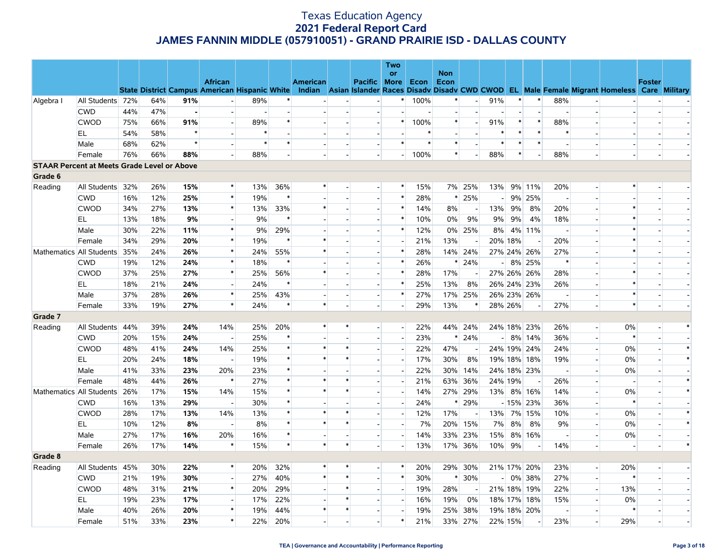|                                                    |                          |     |     |         |                                                                        |        |        |          |                          |                          | Two                      |        |            |                |                |         |                          |                          |                             |                                                                                                  |               |        |
|----------------------------------------------------|--------------------------|-----|-----|---------|------------------------------------------------------------------------|--------|--------|----------|--------------------------|--------------------------|--------------------------|--------|------------|----------------|----------------|---------|--------------------------|--------------------------|-----------------------------|--------------------------------------------------------------------------------------------------|---------------|--------|
|                                                    |                          |     |     |         |                                                                        |        |        |          |                          |                          | or                       |        | <b>Non</b> |                |                |         |                          |                          |                             |                                                                                                  |               |        |
|                                                    |                          |     |     |         | <b>African</b><br><b>State District Campus American Hispanic White</b> |        |        | American |                          | Pacific More             |                          | Econ   | Econ       |                |                |         |                          |                          |                             | Indian Asian Islander Races Disady Disady CWD CWOD EL Male Female Migrant Homeless Care Military | <b>Foster</b> |        |
| Algebra I                                          | All Students 72%         |     | 64% | 91%     | $\overline{a}$                                                         | 89%    |        |          |                          |                          | $^{\ast}$                | 100%   | $\ast$     |                | 91%            | $\ast$  | $\ast$                   | 88%                      |                             |                                                                                                  |               |        |
|                                                    | <b>CWD</b>               | 44% | 47% |         | $\blacksquare$                                                         |        |        |          |                          |                          |                          |        |            |                |                |         | $\overline{a}$           |                          |                             |                                                                                                  |               |        |
|                                                    | <b>CWOD</b>              | 75% | 66% | 91%     | $\overline{\phantom{a}}$                                               | 89%    |        |          |                          | $\blacksquare$           | $\ast$                   | 100%   | $\ast$     |                | 91%            | $\ast$  | $\ast$                   | 88%                      |                             |                                                                                                  |               |        |
|                                                    | EL                       | 54% | 58% | $\star$ | $\overline{a}$                                                         | $\ast$ |        |          |                          |                          |                          | $\ast$ |            |                | $\ast$         | $\ast$  | $\ast$                   | $\ast$                   | $\overline{a}$              |                                                                                                  |               |        |
|                                                    | Male                     | 68% | 62% | $\star$ | $\blacksquare$                                                         | $\ast$ |        |          | $\overline{\phantom{a}}$ | $\blacksquare$           | $\ast$                   | $\ast$ | $\ast$     |                | $\ast$         | $\ast$  | $\ast$                   | $\blacksquare$           | $\overline{\phantom{a}}$    |                                                                                                  |               |        |
|                                                    | Female                   | 76% | 66% | 88%     | $\overline{a}$                                                         | 88%    |        |          |                          |                          | $-1$                     | 100%   | $\ast$     |                | 88%            | $\ast$  |                          | 88%                      | $\overline{a}$              |                                                                                                  |               |        |
| <b>STAAR Percent at Meets Grade Level or Above</b> |                          |     |     |         |                                                                        |        |        |          |                          |                          |                          |        |            |                |                |         |                          |                          |                             |                                                                                                  |               |        |
| Grade 6                                            |                          |     |     |         |                                                                        |        |        |          |                          |                          |                          |        |            |                |                |         |                          |                          |                             |                                                                                                  |               |        |
| Reading                                            | All Students 32%         |     | 26% | 15%     | $\ast$                                                                 | 13%    | 36%    | $\ast$   |                          |                          | *                        | 15%    | 7%         | 25%            | 13%            |         | 9% 11%                   | 20%                      |                             | $\ast$                                                                                           |               |        |
|                                                    | <b>CWD</b>               | 16% | 12% | 25%     | $\ast$                                                                 | 19%    |        |          |                          | $\blacksquare$           | $\ast$                   | 28%    | ∗          | 25%            | $\sim$         |         | 9% 25%                   | $\blacksquare$           | $\overline{\phantom{a}}$    |                                                                                                  |               |        |
|                                                    | <b>CWOD</b>              | 34% | 27% | 13%     | $\ast$                                                                 | 13%    | 33%    | $\ast$   | $\overline{a}$           | $\overline{\phantom{a}}$ | $\ast$                   | 14%    | 8%         | $\overline{a}$ | 13%            | 9%      | 8%                       | 20%                      | $\overline{a}$              | $\ast$                                                                                           |               |        |
|                                                    | EL                       | 13% | 18% | 9%      | $\blacksquare$                                                         | 9%     |        |          |                          | $\blacksquare$           | $\ast$                   | 10%    | 0%         | 9%             | 9%             | 9%      | 4%                       | 18%                      | $\blacksquare$              |                                                                                                  |               |        |
|                                                    | Male                     | 30% | 22% | 11%     | $\ast$                                                                 | 9%     | 29%    |          | $\overline{a}$           | $\overline{\phantom{a}}$ | $\ast$                   | 12%    |            | 0% 25%         | 8%             |         | 4% 11%                   | $\sim$                   | $\overline{a}$              | $\ast$                                                                                           |               |        |
|                                                    | Female                   | 34% | 29% | 20%     | $\ast$                                                                 | 19%    | $\ast$ |          |                          |                          |                          | 21%    | 13%        |                |                | 20% 18% |                          | 20%                      |                             |                                                                                                  |               |        |
|                                                    | Mathematics All Students | 35% | 24% | 26%     | $\ast$                                                                 | 24%    | 55%    | $\ast$   | $\overline{\phantom{a}}$ | $\sim$                   | $\ast$                   | 28%    |            | 14% 24%        |                |         | 27% 24% 26%              | 27%                      |                             |                                                                                                  |               |        |
|                                                    | <b>CWD</b>               | 19% | 12% | 24%     | $\ast$                                                                 | 18%    | $\ast$ |          |                          |                          | $\ast$                   | 26%    | $\ast$     | 24%            | $\overline{a}$ |         | 8% 25%                   | $\ast$                   |                             |                                                                                                  |               |        |
|                                                    | <b>CWOD</b>              | 37% | 25% | 27%     | $\ast$                                                                 | 25%    | 56%    | $\ast$   | $\overline{\phantom{a}}$ | $\sim$                   | $\ast$                   | 28%    | 17%        |                |                |         | 27% 26% 26%              | 28%                      | $\overline{\phantom{a}}$    |                                                                                                  |               |        |
|                                                    | EL                       | 18% | 21% | 24%     | $\overline{a}$                                                         | 24%    |        |          |                          | $\overline{a}$           | $\ast$                   | 25%    | 13%        | 8%             |                |         | 26% 24% 23%              | 26%                      | $\overline{a}$              |                                                                                                  |               |        |
|                                                    | Male                     | 37% | 28% | 26%     | $\ast$                                                                 | 25%    | 43%    |          | $\overline{\phantom{a}}$ | $\blacksquare$           | $\ast$                   | 27%    |            | 17% 25%        |                |         | 26% 23% 26%              | $\overline{\phantom{a}}$ | $\overline{\phantom{a}}$    | $\ast$                                                                                           |               |        |
|                                                    | Female                   | 33% | 19% | 27%     | $\ast$                                                                 | 24%    | $\ast$ | $\ast$   | $\overline{a}$           | $\overline{a}$           | $\overline{a}$           | 29%    | 13%        | $\ast$         |                | 28% 26% | $\overline{\phantom{a}}$ | 27%                      | $\overline{\phantom{a}}$    | $\ast$                                                                                           |               |        |
| Grade 7                                            |                          |     |     |         |                                                                        |        |        |          |                          |                          |                          |        |            |                |                |         |                          |                          |                             |                                                                                                  |               |        |
| Reading                                            | All Students             | 44% | 39% | 24%     | 14%                                                                    | 25%    | 20%    | $\ast$   | ∗                        | $\overline{a}$           | $\blacksquare$           | 22%    |            | 44% 24%        |                |         | 24% 18% 23%              | 26%                      | $\overline{a}$              | 0%                                                                                               |               | $\ast$ |
|                                                    | <b>CWD</b>               | 20% | 15% | 24%     | $\blacksquare$                                                         | 25%    |        |          |                          |                          | $\blacksquare$           | 23%    |            | $* 24%$        | $\overline{a}$ |         | 8% 14%                   | 36%                      | $\overline{a}$              | $\ast$                                                                                           |               |        |
|                                                    | <b>CWOD</b>              | 48% | 41% | 24%     | 14%                                                                    | 25%    |        | $\ast$   | $\ast$                   | $\blacksquare$           |                          | 22%    | 47%        |                |                |         | 24% 19% 24%              | 24%                      | $\blacksquare$              | $0\%$                                                                                            |               |        |
|                                                    | EL                       | 20% | 24% | 18%     | $\sim$                                                                 | 19%    | $\ast$ | $\ast$   | $\ast$                   | $\overline{a}$           | $\overline{a}$           | 17%    | 30%        | 8%             |                |         | 19% 18% 18%              | 19%                      | $\overline{a}$              | 0%                                                                                               |               | $\ast$ |
|                                                    | Male                     | 41% | 33% | 23%     | 20%                                                                    | 23%    |        |          |                          | $\overline{\phantom{a}}$ |                          | 22%    | 30%        | 14%            |                |         | 24% 18% 23%              | $\overline{\phantom{a}}$ |                             | 0%                                                                                               |               |        |
|                                                    | Female                   | 48% | 44% | 26%     | $\ast$                                                                 | 27%    | $\ast$ | $\ast$   | $\ast$                   | $\overline{a}$           | $\sim$                   | 21%    |            | 63% 36%        |                | 24% 19% |                          | 26%                      | $\overline{a}$              | $\overline{\phantom{a}}$                                                                         |               |        |
|                                                    | Mathematics All Students | 26% | 17% | 15%     | 14%                                                                    | 15%    |        | $\ast$   | $\ast$                   |                          |                          | 14%    |            | 27% 29%        |                |         | 13% 8% 16%               | 14%                      |                             | $0\%$                                                                                            |               | $\ast$ |
|                                                    | <b>CWD</b>               | 16% | 13% | 29%     | $\overline{a}$                                                         | 30%    |        |          |                          | $\sim$                   | $\overline{\phantom{a}}$ | 24%    | $\ast$     | 29%            |                |         | $-15\%$ 23%              | 36%                      | $\blacksquare$              | $\ast$                                                                                           |               |        |
|                                                    | <b>CWOD</b>              | 28% | 17% | 13%     | 14%                                                                    | 13%    |        | $\ast$   | $\ast$                   |                          |                          | 12%    | 17%        |                | 13%            |         | 7% 15%                   | 10%                      |                             | 0%                                                                                               |               | $\ast$ |
|                                                    | EL                       | 10% | 12% | 8%      | $\overline{\phantom{a}}$                                               | 8%     |        | $\ast$   | $\ast$                   | $\overline{\phantom{a}}$ |                          | 7%     | 20%        | 15%            | 7%             | 8%      | 8%                       | 9%                       | $\overline{\phantom{a}}$    | 0%                                                                                               |               |        |
|                                                    | Male                     | 27% | 17% | 16%     | 20%                                                                    | 16%    | $\ast$ |          |                          |                          | $\overline{\phantom{a}}$ | 14%    | 33%        | 23%            | 15%            |         | 8% 16%                   | $\blacksquare$           | $\overline{a}$              | 0%                                                                                               |               |        |
|                                                    | Female                   | 26% | 17% | 14%     | $\ast$                                                                 | 15%    | $\ast$ | $\ast$   | $\ast$                   | $\overline{\phantom{a}}$ | $\overline{\phantom{a}}$ | 13%    |            | 17% 36%        | 10%            | 9%      | $\overline{\phantom{a}}$ | 14%                      | $\overline{\phantom{a}}$    | $\overline{a}$                                                                                   |               | $\ast$ |
| Grade 8                                            |                          |     |     |         |                                                                        |        |        |          |                          |                          |                          |        |            |                |                |         |                          |                          |                             |                                                                                                  |               |        |
| Reading                                            | All Students 45%         |     | 30% | 22%     | $\ast$                                                                 | 20%    | 32%    | $\ast$   | $\ast$                   | $\blacksquare$           | $\ast$                   | 20%    |            | 29% 30%        |                |         | 21% 17% 20%              | 23%                      | $\mathcal{L}_{\mathcal{A}}$ | 20%                                                                                              |               |        |
|                                                    | <b>CWD</b>               | 21% | 19% | 30%     | $\overline{a}$                                                         | 27%    | 40%    | $\ast$   | $\ast$                   | $\overline{a}$           | $\ast$                   | 30%    | $\ast$     | 30%            | $-1$           |         | 0% 38%                   | 27%                      | н.                          | $\ast$                                                                                           |               |        |
|                                                    | <b>CWOD</b>              | 48% | 31% | 21%     | $\ast$                                                                 | 20%    | 29%    |          | $\ast$                   |                          | $\blacksquare$           | 19%    | 28%        |                |                |         | 21% 18% 19%              | 22%                      | $\overline{\phantom{a}}$    | 13%                                                                                              |               |        |
|                                                    | EL                       | 19% | 23% | 17%     | $\overline{\phantom{a}}$                                               | 17%    | 22%    |          | $\ast$                   | $\blacksquare$           |                          | 16%    | 19%        | 0%             |                |         | 18% 17% 18%              | 15%                      | $\overline{\phantom{a}}$    | $0\%$                                                                                            |               |        |
|                                                    | Male                     | 40% | 26% | 20%     | $\ast$                                                                 | 19%    | 44%    | $\ast$   | $\ast$                   | $\overline{a}$           |                          | 19%    | 25%        | 38%            |                |         | 19% 18% 20%              | $\overline{\phantom{a}}$ |                             | $\ast$                                                                                           |               |        |
|                                                    | Female                   | 51% | 33% | 23%     | $\ast$                                                                 | 22%    | 20%    |          |                          |                          | *                        | 21%    |            | 33% 27%        | 22% 15%        |         | $\overline{\phantom{a}}$ | 23%                      | $\sim$                      | 29%                                                                                              |               |        |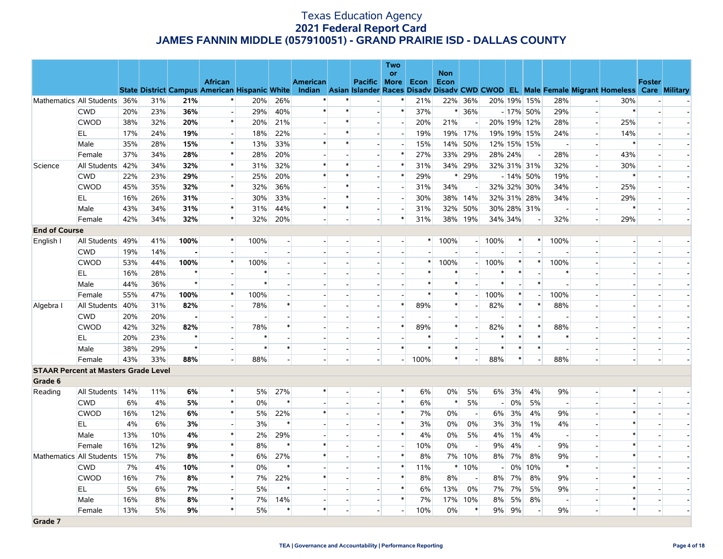|                                             |                              |     |     |         |                                                      |                          |                          |                 |                          |                          | <b>Two</b>               |                |                    |                          |                          |                |                |                          |                          |                                                                                                  |                          |  |
|---------------------------------------------|------------------------------|-----|-----|---------|------------------------------------------------------|--------------------------|--------------------------|-----------------|--------------------------|--------------------------|--------------------------|----------------|--------------------|--------------------------|--------------------------|----------------|----------------|--------------------------|--------------------------|--------------------------------------------------------------------------------------------------|--------------------------|--|
|                                             |                              |     |     |         | <b>African</b>                                       |                          |                          | <b>American</b> |                          | Pacific More             | <b>or</b>                | Econ           | <b>Non</b><br>Econ |                          |                          |                |                |                          |                          |                                                                                                  | <b>Foster</b>            |  |
|                                             |                              |     |     |         | <b>State District Campus American Hispanic White</b> |                          |                          |                 |                          |                          |                          |                |                    |                          |                          |                |                |                          |                          | Indian Asian Islander Races Disady Disady CWD CWOD EL Male Female Migrant Homeless Care Military |                          |  |
|                                             | Mathematics All Students 36% |     | 31% | 21%     | $\ast$                                               | 20%                      | 26%                      | $\ast$          |                          | $\overline{\phantom{a}}$ | $\ast$                   | 21%            |                    | 22% 36%                  |                          |                | 20% 19% 15%    | 28%                      |                          | 30%                                                                                              |                          |  |
|                                             | <b>CWD</b>                   | 20% | 23% | 36%     | $\overline{a}$                                       | 29%                      | 40%                      | $\ast$          | $\ast$                   | $\overline{a}$           | $\ast$                   | 37%            |                    | $* 36%$                  |                          |                | $-17\%$ 50%    | 29%                      | $\overline{\phantom{a}}$ | $\ast$                                                                                           | $\overline{a}$           |  |
|                                             | <b>CWOD</b>                  | 38% | 32% | 20%     | $\ast$                                               | 20%                      | 21%                      |                 | $\ast$                   | $\blacksquare$           | $\blacksquare$           | 20%            | 21%                |                          |                          |                | 20% 19% 12%    | 28%                      | $\overline{\phantom{a}}$ | 25%                                                                                              |                          |  |
|                                             | EL.                          | 17% | 24% | 19%     | $\overline{a}$                                       | 18%                      | 22%                      |                 | $\ast$                   | $\overline{a}$           | $\overline{a}$           | 19%            | 19%                | 17%                      |                          |                | 19% 19% 15%    | 24%                      | $\overline{\phantom{0}}$ | 14%                                                                                              |                          |  |
|                                             | Male                         | 35% | 28% | 15%     | $\ast$                                               | 13%                      | 33%                      |                 | $\ast$                   | $\blacksquare$           | $\overline{\phantom{a}}$ | 15%            | 14%                | 50%                      |                          |                | 12% 15% 15%    | $\overline{\phantom{a}}$ |                          | $\ast$                                                                                           |                          |  |
|                                             | Female                       | 37% | 34% | 28%     | $\ast$                                               | 28%                      | 20%                      |                 |                          | $\overline{a}$           | $\ast$                   | 27%            |                    | 33% 29%                  | 28% 24%                  |                |                | 28%                      | $\overline{\phantom{a}}$ | 43%                                                                                              |                          |  |
| Science                                     | All Students                 | 42% | 34% | 32%     | $\ast$                                               | 31%                      | 32%                      | $\ast$          | $\ast$                   | $\overline{\phantom{a}}$ | $\ast$                   | 31%            |                    | 34% 29%                  |                          |                | 32% 31% 31%    | 32%                      | $\overline{\phantom{0}}$ | 30%                                                                                              |                          |  |
|                                             | <b>CWD</b>                   | 22% | 23% | 29%     | $\overline{a}$                                       | 25%                      | 20%                      | *               | $\ast$                   | $\overline{a}$           | $\ast$                   | 29%            | ∗                  | 29%                      |                          |                | $-14\%$ 50%    | 19%                      | $\overline{a}$           | $\ast$                                                                                           |                          |  |
|                                             | <b>CWOD</b>                  | 45% | 35% | 32%     | $\ast$                                               | 32%                      | 36%                      |                 | $\ast$                   |                          | $\overline{\phantom{a}}$ | 31%            | 34%                |                          |                          |                | 32% 32% 30%    | 34%                      |                          | 25%                                                                                              |                          |  |
|                                             | EL.                          | 16% | 26% | 31%     | $\overline{\phantom{a}}$                             | 30%                      | 33%                      |                 | $\ast$                   | $\overline{\phantom{a}}$ | $\overline{\phantom{a}}$ | 30%            | 38%                | 14%                      |                          |                | 32% 31% 28%    | 34%                      | $\blacksquare$           | 29%                                                                                              |                          |  |
|                                             | Male                         | 43% | 34% | 31%     | $\ast$                                               | 31%                      | 44%                      | $\ast$          | $\ast$                   | $\overline{a}$           | $\overline{\phantom{a}}$ | 31%            |                    | 32% 50%                  |                          |                | 30% 28% 31%    | $\overline{\phantom{a}}$ | $\overline{\phantom{a}}$ | $\ast$                                                                                           |                          |  |
|                                             | Female                       | 42% | 34% | 32%     | $\ast$                                               | 32%                      | 20%                      |                 |                          | $\overline{\phantom{a}}$ | $\ast$                   | 31%            | 38%                | 19%                      | 34% 34%                  |                |                | 32%                      | $\overline{\phantom{a}}$ | 29%                                                                                              | $\overline{\phantom{a}}$ |  |
| <b>End of Course</b>                        |                              |     |     |         |                                                      |                          |                          |                 |                          |                          |                          |                |                    |                          |                          |                |                |                          |                          |                                                                                                  |                          |  |
| English I                                   | All Students                 | 49% | 41% | 100%    | $\ast$                                               | 100%                     | $\overline{\phantom{a}}$ |                 |                          |                          | $\overline{\phantom{a}}$ | $\ast$         | 100%               | $\left  \cdot \right $   | 100%                     | $\ast$         | $\ast$         | 100%                     | $\blacksquare$           |                                                                                                  |                          |  |
|                                             | <b>CWD</b>                   | 19% | 14% |         |                                                      |                          |                          |                 |                          |                          | $\overline{a}$           |                |                    | $\overline{a}$           |                          |                |                |                          | $\overline{a}$           |                                                                                                  |                          |  |
|                                             | <b>CWOD</b>                  | 53% | 44% | 100%    | $\ast$                                               | 100%                     |                          |                 |                          |                          | $\overline{\phantom{a}}$ | $\ast$         | 100%               | $\overline{a}$           | 100%                     | $\ast$         | $\ast$         | 100%                     |                          |                                                                                                  |                          |  |
|                                             | EL.                          | 16% | 28% | $\star$ |                                                      | $\ast$                   |                          |                 |                          |                          | $\overline{a}$           | $\ast$         |                    | $\overline{a}$           |                          | $\ast$         | $\overline{a}$ | $\ast$                   |                          |                                                                                                  |                          |  |
|                                             | Male                         | 44% | 36% | $\star$ |                                                      | $\ast$                   |                          |                 |                          |                          | $\blacksquare$           | $\ast$         | $\ast$             |                          | $\ast$                   |                | $\ast$         |                          |                          |                                                                                                  |                          |  |
|                                             | Female                       | 55% | 47% | 100%    | $\ast$                                               | 100%                     | $\overline{a}$           |                 | $\overline{\phantom{a}}$ | $\sim$                   | $\overline{a}$           | $\ast$         | $\ast$             | $\sim$                   | 100%                     | $\ast$         | $\overline{a}$ | 100%                     |                          |                                                                                                  |                          |  |
| Algebra I                                   | All Students                 | 40% | 31% | 82%     |                                                      | 78%                      | $\ast$                   |                 |                          |                          | $\ast$                   | 89%            | $\ast$             |                          | 82%                      | $\ast$         | $\ast$         | 88%                      |                          |                                                                                                  |                          |  |
|                                             | <b>CWD</b>                   | 20% | 20% |         | $\overline{a}$                                       | $\overline{\phantom{a}}$ |                          |                 | $\overline{\phantom{a}}$ | $\overline{a}$           | $\overline{a}$           | $\overline{a}$ |                    |                          | $\overline{\phantom{a}}$ | $\overline{a}$ | $\overline{a}$ |                          |                          |                                                                                                  |                          |  |
|                                             | <b>CWOD</b>                  | 42% | 32% | 82%     |                                                      | 78%                      | $\ast$                   |                 |                          |                          | $\ast$                   | 89%            | $\ast$             |                          | 82%                      | $\ast$         | $\ast$         | 88%                      |                          |                                                                                                  |                          |  |
|                                             | EL                           | 20% | 23% | $\star$ |                                                      | $\ast$                   |                          |                 |                          | $\overline{\phantom{a}}$ |                          | $\ast$         |                    |                          | ∗                        | $\ast$         | $\ast$         | $\ast$                   |                          |                                                                                                  |                          |  |
|                                             | Male                         | 38% | 29% | $\star$ |                                                      | $\ast$                   | $\ast$                   |                 |                          |                          | $\ast$                   | $\ast$         | $\ast$             |                          | $\ast$                   | $\ast$         | $\ast$         |                          |                          |                                                                                                  |                          |  |
|                                             | Female                       | 43% | 33% | 88%     |                                                      | 88%                      | $\overline{\phantom{a}}$ |                 | $\sim$                   |                          | $\overline{\phantom{0}}$ | 100%           | $\ast$             | $\overline{a}$           | 88%                      | $\ast$         |                | 88%                      | $\overline{\phantom{a}}$ |                                                                                                  | $\sim$                   |  |
| <b>STAAR Percent at Masters Grade Level</b> |                              |     |     |         |                                                      |                          |                          |                 |                          |                          |                          |                |                    |                          |                          |                |                |                          |                          |                                                                                                  |                          |  |
| Grade 6                                     |                              |     |     |         |                                                      |                          |                          |                 |                          |                          |                          |                |                    |                          |                          |                |                |                          |                          |                                                                                                  |                          |  |
| Reading                                     | All Students                 | 14% | 11% | 6%      | $\ast$                                               | 5%                       | 27%                      |                 |                          |                          | $\ast$                   | 6%             | 0%                 | 5%                       | 6%                       | 3%             | 4%             | 9%                       |                          | $\ast$                                                                                           |                          |  |
|                                             | <b>CWD</b>                   | 6%  | 4%  | 5%      | $\ast$                                               | $0\%$                    | $\ast$                   |                 |                          |                          | $\ast$                   | 6%             | $\ast$             | 5%                       | $\overline{\phantom{a}}$ | 0%             | 5%             | $\overline{\phantom{a}}$ | $\overline{\phantom{a}}$ |                                                                                                  |                          |  |
|                                             | <b>CWOD</b>                  | 16% | 12% | 6%      | $\ast$                                               | 5%                       | 22%                      | $\ast$          |                          |                          | $\ast$                   | 7%             | 0%                 | $\overline{\phantom{a}}$ | 6%                       | 3%             | 4%             | 9%                       |                          | $\ast$                                                                                           |                          |  |
|                                             | EL                           | 4%  | 6%  | 3%      |                                                      | 3%                       | $\ast$                   |                 |                          |                          | $\ast$                   | 3%             | 0%                 | 0%                       | 3%                       | 3%             | 1%             | 4%                       |                          | $\ast$                                                                                           |                          |  |
|                                             | Male                         | 13% | 10% | 4%      | $\ast$                                               | 2%                       | 29%                      |                 |                          |                          | $\ast$                   | 4%             | 0%                 | 5%                       | 4%                       | 1%             | 4%             | $\overline{a}$           |                          | $\ast$                                                                                           |                          |  |
|                                             | Female                       | 16% | 12% | 9%      | $\ast$                                               | 8%                       | $\ast$                   | $\ast$          |                          |                          | $\overline{a}$           | 10%            | 0%                 | $\overline{\phantom{a}}$ | 9%                       | 4%             |                | 9%                       |                          | $\ast$                                                                                           |                          |  |
|                                             | Mathematics All Students     | 15% | 7%  | 8%      | $\ast$                                               | 6%                       | 27%                      | $\ast$          |                          | $\blacksquare$           | $\ast$                   | 8%             | 7%                 | 10%                      | 8%                       | 7%             | 8%             | 9%                       |                          | $\ast$                                                                                           |                          |  |
|                                             | <b>CWD</b>                   | 7%  | 4%  | 10%     | $\ast$                                               | $0\%$                    | $\ast$                   |                 |                          |                          | $\ast$                   | 11%            | $\ast$             | 10%                      | $\sim$                   | $0\%$          | 10%            | $\ast$                   |                          |                                                                                                  |                          |  |
|                                             | <b>CWOD</b>                  | 16% | 7%  | 8%      | $\ast$                                               | 7%                       | 22%                      | $\ast$          | $\overline{\phantom{a}}$ | $\overline{a}$           | $\ast$                   | 8%             | 8%                 | $\overline{\phantom{a}}$ | 8%                       | 7%             | 8%             | 9%                       | $\overline{a}$           | $\ast$                                                                                           |                          |  |
|                                             | EL                           | 5%  | 6%  | 7%      |                                                      | 5%                       | $\ast$                   |                 |                          |                          | $\ast$                   | 6%             | 13%                | 0%                       | 7%                       | 7%             | 5%             | 9%                       |                          |                                                                                                  |                          |  |
|                                             | Male                         | 16% | 8%  | 8%      | $\ast$                                               | 7%                       | 14%                      |                 | $\overline{\phantom{a}}$ | $\blacksquare$           | $\ast$                   | 7%             | 17%                | 10%                      | 8%                       | 5%             | 8%             | $\overline{\phantom{a}}$ |                          | $\ast$                                                                                           |                          |  |
|                                             | Female                       | 13% | 5%  | 9%      | $\ast$                                               | 5%                       | $\ast$                   | $\ast$          |                          |                          | $\overline{\phantom{a}}$ | 10%            | 0%                 | $\ast$                   | 9%                       | 9%             |                | 9%                       | $\overline{\phantom{a}}$ | $\ast$                                                                                           |                          |  |
| Grade 7                                     |                              |     |     |         |                                                      |                          |                          |                 |                          |                          |                          |                |                    |                          |                          |                |                |                          |                          |                                                                                                  |                          |  |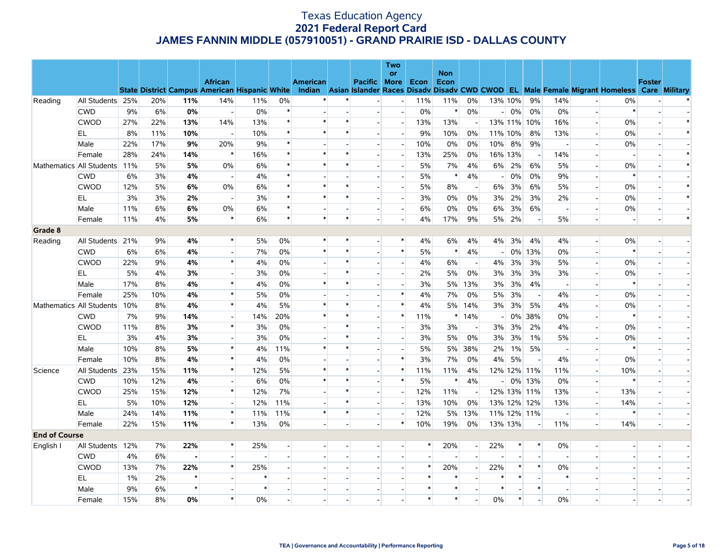|                          |                  |     |     |         |                          |                                                      |                |                 |        |                          | Two                      |        | <b>Non</b> |                          |                          |         |                          |                          |                          |                                                                                                  |               |        |
|--------------------------|------------------|-----|-----|---------|--------------------------|------------------------------------------------------|----------------|-----------------|--------|--------------------------|--------------------------|--------|------------|--------------------------|--------------------------|---------|--------------------------|--------------------------|--------------------------|--------------------------------------------------------------------------------------------------|---------------|--------|
|                          |                  |     |     |         | <b>African</b>           |                                                      |                | <b>American</b> |        | Pacific More             | or                       | Econ   | Econ       |                          |                          |         |                          |                          |                          |                                                                                                  | <b>Foster</b> |        |
|                          |                  |     |     |         |                          | <b>State District Campus American Hispanic White</b> |                |                 |        |                          |                          |        |            |                          |                          |         |                          |                          |                          | Indian Asian Islander Races Disady Disady CWD CWOD EL Male Female Migrant Homeless Care Military |               |        |
| Reading                  | All Students 25% |     | 20% | 11%     | 14%                      | 11%                                                  | 0%             |                 | $\ast$ |                          | $\overline{\phantom{a}}$ | 11%    | 11%        | 0%                       | 13% 10%                  |         | 9%                       | 14%                      |                          | 0%                                                                                               |               |        |
|                          | <b>CWD</b>       | 9%  | 6%  | 0%      | $\overline{\phantom{a}}$ | $0\%$                                                | $\ast$         |                 |        | $\overline{a}$           | $\overline{a}$           | 0%     | $\ast$     | 0%                       | $-1$                     | 0%      | 0%                       | 0%                       | $\sim$ $^{\circ}$        | $\ast$                                                                                           |               |        |
|                          | <b>CWOD</b>      | 27% | 22% | 13%     | 14%                      | 13%                                                  | $\ast$         |                 |        |                          | $\overline{\phantom{a}}$ | 13%    | 13%        |                          |                          |         | 13% 11% 10%              | 16%                      | $\overline{a}$           | $0\%$                                                                                            |               |        |
|                          | EL               | 8%  | 11% | 10%     |                          | 10%                                                  | $\ast$         |                 | $\ast$ |                          | $\overline{a}$           | 9%     | 10%        | 0%                       | 11% 10%                  |         | 8%                       | 13%                      | $\overline{a}$           | 0%                                                                                               |               | $\ast$ |
|                          | Male             | 22% | 17% | 9%      | 20%                      | 9%                                                   | $\ast$         |                 |        | $\overline{a}$           | $\overline{a}$           | 10%    | 0%         | 0%                       | 10%                      | 8%      | 9%                       | $\sim$                   | $\overline{a}$           | 0%                                                                                               |               |        |
|                          | Female           | 28% | 24% | 14%     | $\ast$                   | 16%                                                  | $\ast$         |                 | $\ast$ |                          | $\overline{a}$           | 13%    | 25%        | 0%                       |                          | 16% 13% | $\overline{\phantom{a}}$ | 14%                      |                          |                                                                                                  |               | $\ast$ |
| Mathematics All Students |                  | 11% | 5%  | 5%      | 0%                       | 6%                                                   | $\ast$         | $\ast$          | $\ast$ | $\overline{a}$           | $\overline{a}$           | 5%     | 7%         | 4%                       | $6\%$                    | 2%      | 6%                       | 5%                       | $\mathbf{u}^{(1)}$       | 0%                                                                                               |               | $\ast$ |
|                          | <b>CWD</b>       | 6%  | 3%  | 4%      | $\overline{\phantom{a}}$ | 4%                                                   | $\ast$         |                 |        | $\overline{\phantom{a}}$ | $\overline{\phantom{a}}$ | 5%     | $\ast$     | 4%                       | $\overline{a}$           | 0%      | 0%                       | 9%                       | $\overline{\phantom{a}}$ |                                                                                                  |               |        |
|                          | <b>CWOD</b>      | 12% | 5%  | 6%      | 0%                       | 6%                                                   | $\ast$         |                 | $\ast$ |                          |                          | 5%     | 8%         |                          | 6%                       | 3%      | 6%                       | 5%                       | $\overline{a}$           | 0%                                                                                               |               | $\ast$ |
|                          | EL               | 3%  | 3%  | 2%      | $\overline{\phantom{a}}$ | 3%                                                   |                |                 | ∗      | $\overline{\phantom{a}}$ | $\blacksquare$           | 3%     | $0\%$      | 0%                       | 3%                       | 2%      | 3%                       | 2%                       | $\overline{\phantom{a}}$ | $0\%$                                                                                            |               | $\ast$ |
|                          | Male             | 11% | 6%  | 6%      | 0%                       | 6%                                                   | $\ast$         |                 |        |                          | $\overline{\phantom{a}}$ | 6%     | 0%         | 0%                       | 6%                       | 3%      | 6%                       | $\overline{\phantom{a}}$ | $\blacksquare$           | 0%                                                                                               |               |        |
|                          | Female           | 11% | 4%  | 5%      | $\ast$                   | 6%                                                   | $\ast$         | $\ast$          | $\ast$ |                          | $\overline{a}$           | 4%     | 17%        | 9%                       | 5%                       | 2%      | $\overline{a}$           | 5%                       | $\overline{a}$           |                                                                                                  |               | $\ast$ |
| Grade 8                  |                  |     |     |         |                          |                                                      |                |                 |        |                          |                          |        |            |                          |                          |         |                          |                          |                          |                                                                                                  |               |        |
| Reading                  | All Students     | 21% | 9%  | 4%      | $\ast$                   | 5%                                                   | 0%             | $\ast$          | *      | $\overline{a}$           | $\ast$                   | 4%     | 6%         | 4%                       | 4%                       | 3%      | 4%                       | 4%                       | $\overline{\phantom{a}}$ | $0\%$                                                                                            |               |        |
|                          | <b>CWD</b>       | 6%  | 6%  | 4%      | $\overline{a}$           | 7%                                                   | 0%             | $\ast$          | $\ast$ | $\sim$                   | $\ast$                   | 5%     | $\ast$     | 4%                       | $\overline{\phantom{a}}$ |         | 0% 13%                   | $0\%$                    | $\overline{a}$           |                                                                                                  |               |        |
|                          | <b>CWOD</b>      | 22% | 9%  | 4%      | $\ast$                   | 4%                                                   | 0%             |                 | $\ast$ |                          | $\overline{\phantom{a}}$ | 4%     | $6\%$      | $\overline{\phantom{a}}$ | 4%                       | 3%      | 3%                       | 5%                       |                          | 0%                                                                                               |               |        |
|                          | EL.              | 5%  | 4%  | 3%      | $\overline{a}$           | 3%                                                   | 0%             |                 | $\ast$ | $\overline{a}$           | $\blacksquare$           | 2%     | 5%         | 0%                       | 3%                       | 3%      | 3%                       | 3%                       | $\sim$                   | 0%                                                                                               |               |        |
|                          | Male             | 17% | 8%  | 4%      | $\ast$                   | 4%                                                   | $0\%$          | $\ast$          | $\ast$ |                          |                          | 3%     | 5%         | 13%                      | 3%                       | 3%      | 4%                       | $\overline{\phantom{a}}$ |                          |                                                                                                  |               |        |
|                          | Female           | 25% | 10% | 4%      | $\ast$                   | 5%                                                   | 0%             |                 |        |                          | $\ast$                   | 4%     | 7%         | 0%                       | 5%                       | 3%      | $\overline{\phantom{a}}$ | 4%                       | $\overline{a}$           | 0%                                                                                               |               |        |
| Mathematics All Students |                  | 10% | 8%  | 4%      | $\ast$                   | 4%                                                   | 5%             |                 |        |                          | $\ast$                   | 4%     | 5%         | 14%                      | 3%                       | 3%      | 5%                       | 4%                       | $\overline{\phantom{a}}$ | 0%                                                                                               |               |        |
|                          | <b>CWD</b>       | 7%  | 9%  | 14%     |                          | 14%                                                  | 20%            | $\ast$          | $\ast$ |                          | $\ast$                   | 11%    | $\ast$     | 14%                      | $\sim$                   | $0\%$   | 38%                      | 0%                       | $\overline{a}$           |                                                                                                  |               |        |
|                          | <b>CWOD</b>      | 11% | 8%  | 3%      | $\ast$                   | 3%                                                   | 0%             |                 | *      | $\sim$                   | $\blacksquare$           | 3%     | 3%         | $\overline{\phantom{a}}$ | 3%                       | 3%      | 2%                       | 4%                       | $\overline{a}$           | 0%                                                                                               |               |        |
|                          | EL               | 3%  | 4%  | 3%      |                          | 3%                                                   | $0\%$          |                 | $\ast$ |                          | $\overline{\phantom{a}}$ | 3%     | 5%         | 0%                       | 3%                       | 3%      | 1%                       | 5%                       |                          | $0\%$                                                                                            |               |        |
|                          | Male             | 10% | 8%  | 5%      | $\ast$                   | 4%                                                   | 11%            | $\ast$          | $\ast$ |                          | $\overline{a}$           | 5%     | 5%         | 38%                      | 2%                       | 1%      | 5%                       | $\overline{\phantom{a}}$ | $\overline{a}$           | $\ast$                                                                                           |               |        |
|                          | Female           | 10% | 8%  | 4%      | $\ast$                   | 4%                                                   | $0\%$          |                 |        |                          | $\ast$                   | 3%     | 7%         | 0%                       | 4%                       | 5%      | $\overline{\phantom{a}}$ | 4%                       | $\overline{\phantom{a}}$ | $0\%$                                                                                            |               |        |
| Science                  | All Students     | 23% | 15% | 11%     | $\ast$                   | 12%                                                  | 5%             | $\ast$          | $\ast$ |                          | $\ast$                   | 11%    | 11%        | 4%                       |                          |         | 12% 12% 11%              | 11%                      | $\overline{\phantom{a}}$ | 10%                                                                                              |               |        |
|                          | <b>CWD</b>       | 10% | 12% | 4%      | $\blacksquare$           | 6%                                                   | 0%             | $\ast$          | $\ast$ | $\sim$                   | $\ast$                   | 5%     | $\ast$     | 4%                       | $-1$                     |         | 0% 13%                   | 0%                       | $\overline{\phantom{a}}$ | ∗                                                                                                |               |        |
|                          | <b>CWOD</b>      | 25% | 15% | 12%     | $\ast$                   | 12%                                                  | 7%             |                 | $\ast$ |                          |                          | 12%    | 11%        |                          |                          |         | 12% 13% 11%              | 13%                      | $\overline{a}$           | 13%                                                                                              |               |        |
|                          | EL               | 5%  | 10% | 12%     | $\overline{a}$           | 12%                                                  | 11%            |                 | $\ast$ | $\overline{\phantom{a}}$ | $\overline{a}$           | 13%    | 10%        | 0%                       |                          |         | 13% 12% 12%              | 13%                      | $\sim$                   | 14%                                                                                              |               |        |
|                          | Male             | 24% | 14% | 11%     | $\ast$                   | 11%                                                  | 11%            | $\ast$          | *      | $\overline{\phantom{a}}$ |                          | 12%    | 5%         | 13%                      |                          |         | 11% 12% 11%              | $\overline{\phantom{a}}$ | $\overline{\phantom{a}}$ |                                                                                                  |               |        |
|                          | Female           | 22% | 15% | 11%     | $\ast$                   | 13%                                                  | 0%             |                 |        |                          | $\ast$                   | 10%    | 19%        | 0%                       | 13% 13%                  |         | $\overline{\phantom{a}}$ | 11%                      | $\overline{a}$           | 14%                                                                                              |               |        |
| <b>End of Course</b>     |                  |     |     |         |                          |                                                      |                |                 |        |                          |                          |        |            |                          |                          |         |                          |                          |                          |                                                                                                  |               |        |
| English I                | All Students     | 12% | 7%  | 22%     | $\ast$                   | 25%                                                  |                |                 |        |                          | $\overline{a}$           | $\ast$ | 20%        | $\overline{a}$           | 22%                      | $\ast$  | $\ast$                   | $0\%$                    |                          |                                                                                                  |               |        |
|                          | <b>CWD</b>       | 4%  | 6%  |         | $\overline{\phantom{a}}$ | $\overline{\phantom{a}}$                             | $\overline{a}$ |                 |        |                          | $\overline{a}$           |        |            | $\sim$                   |                          |         | $\overline{a}$           | $\overline{a}$           | $\overline{a}$           |                                                                                                  |               |        |
|                          | <b>CWOD</b>      | 13% | 7%  | 22%     | $\ast$                   | 25%                                                  |                |                 |        |                          | $\overline{a}$           | $\ast$ | 20%        |                          | 22%                      | *       | $\ast$                   | 0%                       | $\overline{a}$           |                                                                                                  |               |        |
|                          | EL               | 1%  | 2%  | $\star$ |                          | $\ast$                                               |                |                 |        |                          |                          | $\ast$ | $\ast$     |                          |                          | $\ast$  |                          | $\ast$                   |                          |                                                                                                  |               |        |
|                          | Male             | 9%  | 6%  | $\star$ |                          | $\ast$                                               |                |                 |        |                          |                          | $\ast$ | $\ast$     |                          | $\ast$                   |         | $\ast$                   | $\overline{\phantom{a}}$ |                          |                                                                                                  |               |        |
|                          | Female           | 15% | 8%  | 0%      | $\ast$                   | $0\%$                                                |                |                 |        |                          |                          | $\ast$ | $\ast$     |                          | 0%                       | $\ast$  |                          | $0\%$                    |                          |                                                                                                  |               |        |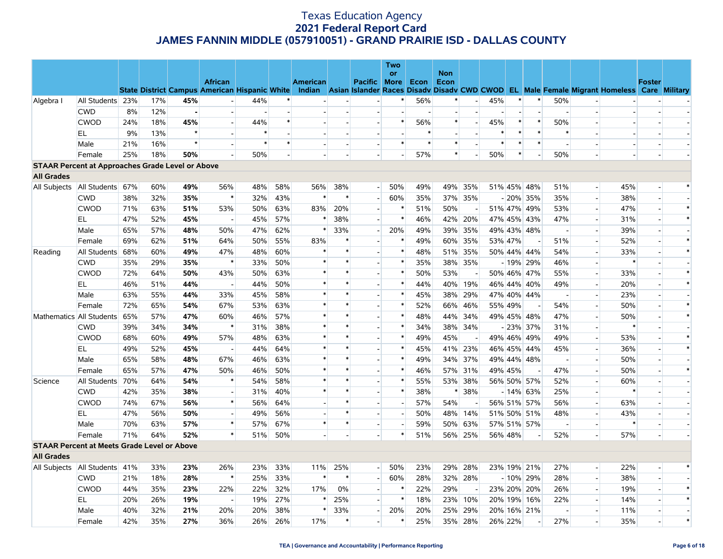|                                                         |                                   |     |     |         |                                                      |        |     |                 |        |                          | Two            |        |            |                          |         |         |                          |                          |                          |                                                                                                  |                          |        |
|---------------------------------------------------------|-----------------------------------|-----|-----|---------|------------------------------------------------------|--------|-----|-----------------|--------|--------------------------|----------------|--------|------------|--------------------------|---------|---------|--------------------------|--------------------------|--------------------------|--------------------------------------------------------------------------------------------------|--------------------------|--------|
|                                                         |                                   |     |     |         | <b>African</b>                                       |        |     |                 |        |                          | <b>or</b>      |        | <b>Non</b> |                          |         |         |                          |                          |                          |                                                                                                  |                          |        |
|                                                         |                                   |     |     |         | <b>State District Campus American Hispanic White</b> |        |     | <b>American</b> |        | Pacific More             |                | Econ   | Econ       |                          |         |         |                          |                          |                          | Indian Asian Islander Races Disady Disady CWD CWOD EL Male Female Migrant Homeless Care Military | <b>Foster</b>            |        |
| Algebra I                                               | All Students 23%                  |     | 17% | 45%     |                                                      | 44%    |     |                 |        |                          | *              | 56%    | $\ast$     |                          | 45%     | $\ast$  | $\ast$                   | 50%                      |                          |                                                                                                  |                          |        |
|                                                         | <b>CWD</b>                        | 8%  | 12% |         |                                                      |        |     |                 |        |                          |                |        |            |                          |         |         |                          |                          |                          |                                                                                                  |                          |        |
|                                                         | <b>CWOD</b>                       | 24% | 18% | 45%     | $\sim$                                               | 44%    |     |                 |        | $\blacksquare$           | $\ast$         | 56%    | $\ast$     |                          | 45%     | $\ast$  | $\ast$                   | 50%                      |                          |                                                                                                  |                          |        |
|                                                         | <b>EL</b>                         | 9%  | 13% | $\star$ | $\overline{a}$                                       | $\ast$ |     |                 |        |                          |                | $\ast$ |            |                          | $\ast$  | $\ast$  | $\ast$                   | $\ast$                   |                          |                                                                                                  |                          |        |
|                                                         | Male                              | 21% | 16% | $\star$ | $\overline{\phantom{a}}$                             | $\ast$ |     |                 |        | $\blacksquare$           | *              | $\ast$ | $\ast$     |                          | $\ast$  | $\ast$  | $\ast$                   |                          |                          |                                                                                                  |                          |        |
|                                                         | Female                            | 25% | 18% | 50%     |                                                      | 50%    |     |                 |        |                          |                | 57%    | $\ast$     |                          | 50%     | $\ast$  |                          | 50%                      |                          |                                                                                                  |                          |        |
| <b>STAAR Percent at Approaches Grade Level or Above</b> |                                   |     |     |         |                                                      |        |     |                 |        |                          |                |        |            |                          |         |         |                          |                          |                          |                                                                                                  |                          |        |
| <b>All Grades</b>                                       |                                   |     |     |         |                                                      |        |     |                 |        |                          |                |        |            |                          |         |         |                          |                          |                          |                                                                                                  |                          |        |
| All Subjects                                            | All Students 67%                  |     | 60% | 49%     | 56%                                                  | 48%    | 58% | 56%             | 38%    | $\overline{a}$           | 50%            | 49%    | 49%        | 35%                      |         |         | 51% 45% 48%              | 51%                      |                          | 45%                                                                                              |                          | $\ast$ |
|                                                         | <b>CWD</b>                        | 38% | 32% | 35%     | $\ast$                                               | 32%    | 43% | $\ast$          |        | $\blacksquare$           | 60%            | 35%    |            | 37% 35%                  |         |         | $-20\%$ 35%              | 35%                      |                          | 38%                                                                                              | $\overline{\phantom{a}}$ |        |
|                                                         | <b>CWOD</b>                       | 71% | 63% | 51%     | 53%                                                  | 50%    | 63% | 83%             | 20%    | $\overline{a}$           | $\ast$         | 51%    | 50%        |                          |         |         | 51% 47% 49%              | 53%                      | $\overline{\phantom{a}}$ | 47%                                                                                              | $\overline{a}$           | $\ast$ |
|                                                         | EL                                | 47% | 52% | 45%     | $\overline{\phantom{a}}$                             | 45%    | 57% | $\ast$          | 38%    | $\blacksquare$           | $\ast$         | 46%    | 42%        | 20%                      |         |         | 47% 45% 43%              | 47%                      | $\blacksquare$           | 31%                                                                                              | $\sim$                   | $\ast$ |
|                                                         | Male                              | 65% | 57% | 48%     | 50%                                                  | 47%    | 62% | $\ast$          | 33%    | $\overline{a}$           | 20%            | 49%    |            | 39% 35%                  |         |         | 49% 43% 48%              | $\overline{\phantom{a}}$ | $\overline{a}$           | 39%                                                                                              | $\sim$                   |        |
|                                                         | Female                            | 69% | 62% | 51%     | 64%                                                  | 50%    | 55% | 83%             | $\ast$ |                          | *              | 49%    |            | 60% 35%                  | 53% 47% |         |                          | 51%                      |                          | 52%                                                                                              |                          | $\ast$ |
| Reading                                                 | All Students                      | 68% | 60% | 49%     | 47%                                                  | 48%    | 60% | $\ast$          | *      | $\overline{a}$           | $\ast$         | 48%    |            | 51% 35%                  |         |         | 50% 44% 44%              | 54%                      | $\overline{a}$           | 33%                                                                                              |                          | $\ast$ |
|                                                         | <b>CWD</b>                        | 35% | 29% | 35%     | $\ast$                                               | 33%    | 50% | $\ast$          | $\ast$ |                          | $\ast$         | 35%    |            | 38% 35%                  |         |         | $-19\%$ 29%              | 46%                      |                          | $\ast$                                                                                           |                          |        |
|                                                         | <b>CWOD</b>                       | 72% | 64% | 50%     | 43%                                                  | 50%    | 63% | $\ast$          | $\ast$ | $\overline{\phantom{a}}$ | $\ast$         | 50%    | 53%        |                          |         |         | 50% 46% 47%              | 55%                      | $\overline{\phantom{a}}$ | 33%                                                                                              |                          | $\ast$ |
|                                                         | EL                                | 46% | 51% | 44%     | $\overline{a}$                                       | 44%    | 50% | $\ast$          | $\ast$ | $\mathbf{r}$             | $\ast$         | 44%    | 40%        | 19%                      |         |         | 46% 44% 40%              | 49%                      | $\overline{a}$           | 20%                                                                                              |                          | $\ast$ |
|                                                         | Male                              | 63% | 55% | 44%     | 33%                                                  | 45%    | 58% | $\ast$          | *      | $\overline{\phantom{a}}$ | $\ast$         | 45%    | 38%        | 29%                      |         |         | 47% 40% 44%              |                          | $\overline{\phantom{a}}$ | 23%                                                                                              | $\sim$                   |        |
|                                                         | Female                            | 72% | 65% | 54%     | 67%                                                  | 53%    | 63% | $\ast$          | $\ast$ | $\overline{a}$           | *              | 52%    |            | 66% 46%                  |         | 55% 49% |                          | 54%                      | $\overline{a}$           | 50%                                                                                              | $\sim$                   | $\ast$ |
|                                                         | Mathematics All Students          | 65% | 57% | 47%     | 60%                                                  | 46%    | 57% | $\ast$          | $\ast$ |                          | $\ast$         | 48%    |            | 44% 34%                  |         |         | 49% 45% 48%              | 47%                      |                          | 50%                                                                                              |                          | $\ast$ |
|                                                         | <b>CWD</b>                        | 39% | 34% | 34%     | $\ast$                                               | 31%    | 38% | $\ast$          | $\ast$ | $\overline{a}$           | $\ast$         | 34%    |            | 38% 34%                  |         |         | $-23\%$ 37%              | 31%                      |                          | $\ast$                                                                                           |                          |        |
|                                                         | <b>CWOD</b>                       | 68% | 60% | 49%     | 57%                                                  | 48%    | 63% | $\ast$          | $\ast$ |                          | $\ast$         | 49%    | 45%        |                          |         |         | 49% 46% 49%              | 49%                      |                          | 53%                                                                                              |                          | $\ast$ |
|                                                         | EL                                | 49% | 52% | 45%     | $\sim$                                               | 44%    | 64% | $\ast$          | $\ast$ | $\blacksquare$           | $\ast$         | 45%    |            | 41% 23%                  |         |         | 46% 45% 44%              | 45%                      | $\blacksquare$           | 36%                                                                                              | $\overline{\phantom{a}}$ | $\ast$ |
|                                                         | Male                              | 65% | 58% | 48%     | 67%                                                  | 46%    | 63% | $\ast$          | $\ast$ | $\overline{a}$           | $\ast$         | 49%    | 34%        | 37%                      |         |         | 49% 44% 48%              | $\overline{\phantom{a}}$ | $\overline{\phantom{a}}$ | 50%                                                                                              | $\overline{a}$           |        |
|                                                         | Female                            | 65% | 57% | 47%     | 50%                                                  | 46%    | 50% |                 |        | $\blacksquare$           | $\ast$         | 46%    |            | 57% 31%                  | 49% 45% |         | $\overline{\phantom{a}}$ | 47%                      | $\blacksquare$           | 50%                                                                                              |                          | $\ast$ |
| Science                                                 | All Students                      | 70% | 64% | 54%     | $\ast$                                               | 54%    | 58% | $\ast$          | $\ast$ | $\overline{a}$           | *              | 55%    |            | 53% 38%                  |         |         | 56% 50% 57%              | 52%                      | $\overline{a}$           | 60%                                                                                              | $\overline{\phantom{a}}$ |        |
|                                                         | <b>CWD</b>                        | 42% | 35% | 38%     | $\overline{\phantom{a}}$                             | 31%    | 40% | $\ast$          | $\ast$ | $\overline{a}$           | $\ast$         | 38%    | $\ast$     | 38%                      |         |         | $-14\%$ 63%              | 25%                      | $\blacksquare$           | $\ast$                                                                                           |                          |        |
|                                                         | <b>CWOD</b>                       | 74% | 67% | 56%     | $\ast$                                               | 56%    | 64% |                 | $\ast$ | $\overline{a}$           | $\overline{a}$ | 57%    | 54%        | $\overline{\phantom{a}}$ |         |         | 56% 51% 57%              | 56%                      | $\blacksquare$           | 63%                                                                                              |                          |        |
|                                                         | EL                                | 47% | 56% | 50%     |                                                      | 49%    | 56% |                 | $\ast$ |                          |                | 50%    |            | 48% 14%                  |         |         | 51% 50% 51%              | 48%                      |                          | 43%                                                                                              |                          |        |
|                                                         | Male                              | 70% | 63% | 57%     | $\ast$                                               | 57%    | 67% | $\ast$          | ∗      | $\overline{a}$           |                | 59%    |            | 50% 63%                  |         |         | 57% 51% 57%              |                          | $\blacksquare$           |                                                                                                  |                          |        |
|                                                         | Female                            | 71% | 64% | 52%     | $\ast$                                               | 51%    | 50% |                 |        |                          | $\ast$         | 51%    |            | 56% 25%                  | 56% 48% |         |                          | 52%                      |                          | 57%                                                                                              |                          |        |
| <b>STAAR Percent at Meets Grade Level or Above</b>      |                                   |     |     |         |                                                      |        |     |                 |        |                          |                |        |            |                          |         |         |                          |                          |                          |                                                                                                  |                          |        |
| <b>All Grades</b>                                       |                                   |     |     |         |                                                      |        |     |                 |        |                          |                |        |            |                          |         |         |                          |                          |                          |                                                                                                  |                          |        |
|                                                         | All Subjects   All Students   41% |     | 33% | 23%     | 26%                                                  | 23%    | 33% | 11%             | 25%    | $\overline{a}$           | 50%            | 23%    |            | 29% 28%                  |         |         | 23% 19% 21%              | 27%                      | $\overline{\phantom{a}}$ | 22%                                                                                              |                          |        |
|                                                         | <b>CWD</b>                        | 21% | 18% | 28%     | $\ast$                                               | 25%    | 33% | $\ast$          | $\ast$ | $\overline{\phantom{a}}$ | 60%            | 28%    |            | 32% 28%                  |         |         | $-10\%$ 29%              | 28%                      | $\overline{a}$           | 38%                                                                                              | $\overline{a}$           |        |
|                                                         | <b>CWOD</b>                       | 44% | 35% | 23%     | 22%                                                  | 22%    | 32% | 17%             | 0%     | $\overline{a}$           | $\ast$         | 22%    | 29%        |                          |         |         | 23% 20% 20%              | 26%                      |                          | 19%                                                                                              |                          | $\ast$ |
|                                                         | EL                                | 20% | 26% | 19%     | $\overline{a}$                                       | 19%    | 27% | $\ast$          | 25%    | $\blacksquare$           | $\ast$         | 18%    |            | 23% 10%                  |         |         | 20% 19% 16%              | 22%                      | $\overline{\phantom{a}}$ | 14%                                                                                              | $\sim$                   | $\ast$ |
|                                                         | Male                              | 40% | 32% | 21%     | 20%                                                  | 20%    | 38% | $\ast$          | 33%    | $\overline{a}$           | 20%            | 20%    | 25%        | 29%                      |         |         | 20% 16% 21%              | $\sim$                   | $\overline{a}$           | 11%                                                                                              |                          |        |
|                                                         | Female                            | 42% | 35% | 27%     | 36%                                                  | 26%    | 26% | 17%             |        |                          | $\ast$         | 25%    |            | 35% 28%                  | 26% 22% |         |                          | 27%                      |                          | 35%                                                                                              |                          | $\ast$ |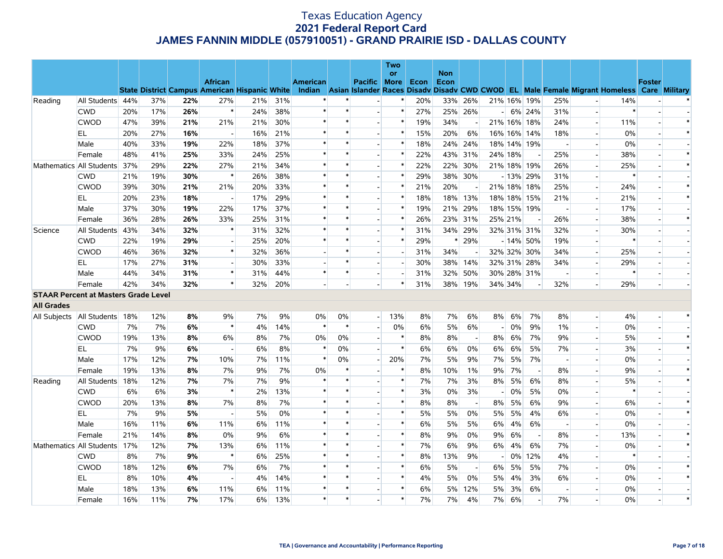|                   |                                             |     |     |     |                |                                                      |     |                 |        |                          | <b>Two</b>               |      |                    |                          |                |       |                          |                          |                          |                                                                                                  |                          |        |
|-------------------|---------------------------------------------|-----|-----|-----|----------------|------------------------------------------------------|-----|-----------------|--------|--------------------------|--------------------------|------|--------------------|--------------------------|----------------|-------|--------------------------|--------------------------|--------------------------|--------------------------------------------------------------------------------------------------|--------------------------|--------|
|                   |                                             |     |     |     | <b>African</b> |                                                      |     | <b>American</b> |        | Pacific More             | <b>or</b>                | Econ | <b>Non</b><br>Econ |                          |                |       |                          |                          |                          |                                                                                                  | <b>Foster</b>            |        |
|                   |                                             |     |     |     |                | <b>State District Campus American Hispanic White</b> |     |                 |        |                          |                          |      |                    |                          |                |       |                          |                          |                          | Indian Asian Islander Races Disady Disady CWD CWOD EL Male Female Migrant Homeless Care Military |                          |        |
| Reading           | All Students 44%                            |     | 37% | 22% | 27%            | 21%                                                  | 31% |                 |        |                          |                          | 20%  | 33%                | 26%                      |                |       | 21% 16% 19%              | 25%                      |                          | 14%                                                                                              |                          |        |
|                   | <b>CWD</b>                                  | 20% | 17% | 26% | $\ast$         | 24%                                                  | 38% | $\ast$          | $\ast$ | $\overline{\phantom{a}}$ | $\ast$                   | 27%  |                    | 25% 26%                  | $\sim$         |       | 6% 24%                   | 31%                      | $\overline{a}$           | $\ast$                                                                                           | $\overline{\phantom{a}}$ |        |
|                   | <b>CWOD</b>                                 | 47% | 39% | 21% | 21%            | 21%                                                  | 30% | $\ast$          | $\ast$ |                          | $\ast$                   | 19%  | 34%                |                          |                |       | 21% 16% 18%              | 24%                      |                          | 11%                                                                                              |                          | $\ast$ |
|                   | EL.                                         | 20% | 27% | 16% |                | 16%                                                  | 21% | *               | $\ast$ | $\overline{a}$           | $\ast$                   | 15%  | 20%                | 6%                       |                |       | 16% 16% 14%              | 18%                      | $\overline{a}$           | 0%                                                                                               | $\sim$                   | $\ast$ |
|                   | Male                                        | 40% | 33% | 19% | 22%            | 18%                                                  | 37% |                 | $\ast$ | $\blacksquare$           | $\ast$                   | 18%  | 24%                | 24%                      |                |       | 18% 14% 19%              | $\overline{\phantom{a}}$ | $\blacksquare$           | 0%                                                                                               |                          |        |
|                   | Female                                      | 48% | 41% | 25% | 33%            | 24%                                                  | 25% |                 | $\ast$ |                          | $\ast$                   | 22%  | 43%                | 31%                      | 24% 18%        |       |                          | 25%                      | $\overline{a}$           | 38%                                                                                              |                          | $\ast$ |
|                   | Mathematics All Students                    | 37% | 29% | 22% | 27%            | 21%                                                  | 34% | $\ast$          | $\ast$ | $\overline{\phantom{a}}$ | $\ast$                   | 22%  | 22%                | 30%                      |                |       | 21% 18% 19%              | 26%                      | $\blacksquare$           | 25%                                                                                              |                          | $\ast$ |
|                   | <b>CWD</b>                                  | 21% | 19% | 30% | $\ast$         | 26%                                                  | 38% | $\ast$          | $\ast$ |                          | $\ast$                   | 29%  |                    | 38% 30%                  |                |       | $-13\%$ 29%              | 31%                      |                          | $\ast$                                                                                           |                          |        |
|                   | <b>CWOD</b>                                 | 39% | 30% | 21% | 21%            | 20%                                                  | 33% | $\ast$          | $\ast$ | $\overline{a}$           | $\ast$                   | 21%  | 20%                |                          |                |       | 21% 18% 18%              | 25%                      | $\overline{\phantom{a}}$ | 24%                                                                                              |                          | $\ast$ |
|                   | EL.                                         | 20% | 23% | 18% |                | 17%                                                  | 29% |                 | $\ast$ | $\blacksquare$           | $\ast$                   | 18%  | 18%                | 13%                      |                |       | 18% 18% 15%              | 21%                      | $\overline{\phantom{a}}$ | 21%                                                                                              |                          | $\ast$ |
|                   | Male                                        | 37% | 30% | 19% | 22%            | 17%                                                  | 37% | *               | $\ast$ |                          | $\ast$                   | 19%  | 21%                | 29%                      |                |       | 18% 15% 19%              | $\overline{a}$           | $\overline{\phantom{a}}$ | 17%                                                                                              |                          |        |
|                   | Female                                      | 36% | 28% | 26% | 33%            | 25%                                                  | 31% | $\ast$          | $\ast$ | $\blacksquare$           | $\ast$                   | 26%  | 23%                | 31%                      | 25% 21%        |       | $\overline{\phantom{a}}$ | 26%                      | $\overline{\phantom{a}}$ | 38%                                                                                              |                          | $\ast$ |
| Science           | All Students                                | 43% | 34% | 32% | $\ast$         | 31%                                                  | 32% | $\ast$          | $\ast$ |                          | $\ast$                   | 31%  |                    | 34% 29%                  |                |       | 32% 31% 31%              | 32%                      |                          | 30%                                                                                              |                          |        |
|                   | <b>CWD</b>                                  | 22% | 19% | 29% | $\overline{a}$ | 25%                                                  | 20% | $\ast$          | $\ast$ | $\overline{a}$           | $\ast$                   | 29%  | ∗                  | 29%                      |                |       | $-14\%$ 50%              | 19%                      | $\overline{a}$           | $\ast$                                                                                           |                          |        |
|                   | <b>CWOD</b>                                 | 46% | 36% | 32% | $\ast$         | 32%                                                  | 36% |                 | $\ast$ | $\blacksquare$           | $\overline{\phantom{a}}$ | 31%  | 34%                |                          |                |       | 32% 32% 30%              | 34%                      | $\blacksquare$           | 25%                                                                                              |                          |        |
|                   | EL                                          | 17% | 27% | 31% | $\overline{a}$ | 30%                                                  | 33% |                 | $\ast$ | $\overline{a}$           | $\overline{a}$           | 30%  | 38%                | 14%                      |                |       | 32% 31% 28%              | 34%                      | $\overline{\phantom{a}}$ | 29%                                                                                              |                          |        |
|                   | Male                                        | 44% | 34% | 31% | $\ast$         | 31%                                                  | 44% | $\ast$          | $\ast$ | $\overline{\phantom{a}}$ | $\blacksquare$           | 31%  | 32%                | 50%                      |                |       | 30% 28% 31%              | $\overline{\phantom{a}}$ |                          | $\ast$                                                                                           |                          |        |
|                   | Female                                      | 42% | 34% | 32% | $\ast$         | 32%                                                  | 20% |                 |        |                          | $\ast$                   | 31%  | 38%                | 19%                      | 34% 34%        |       |                          | 32%                      |                          | 29%                                                                                              |                          |        |
|                   | <b>STAAR Percent at Masters Grade Level</b> |     |     |     |                |                                                      |     |                 |        |                          |                          |      |                    |                          |                |       |                          |                          |                          |                                                                                                  |                          |        |
| <b>All Grades</b> |                                             |     |     |     |                |                                                      |     |                 |        |                          |                          |      |                    |                          |                |       |                          |                          |                          |                                                                                                  |                          |        |
| All Subjects      | All Students 18%                            |     | 12% | 8%  | 9%             | 7%                                                   | 9%  | 0%              | 0%     | $-1$                     | 13%                      | 8%   | 7%                 | 6%                       | 8%             | 6%    | 7%                       | 8%                       | $\overline{\phantom{a}}$ | 4%                                                                                               |                          | $\ast$ |
|                   | <b>CWD</b>                                  | 7%  | 7%  | 6%  | $\ast$         | 4%                                                   | 14% | $\ast$          | $\ast$ | $\overline{a}$           | 0%                       | 6%   | 5%                 | 6%                       | $\sim$         | 0%    | 9%                       | 1%                       | $\blacksquare$           | 0%                                                                                               |                          |        |
|                   | <b>CWOD</b>                                 | 19% | 13% | 8%  | 6%             | 8%                                                   | 7%  | 0%              | 0%     | $\overline{a}$           | $\ast$                   | 8%   | 8%                 | $\overline{\phantom{a}}$ | 8%             | 6%    | 7%                       | 9%                       |                          | 5%                                                                                               |                          | $\ast$ |
|                   | EL.                                         | 7%  | 9%  | 6%  | $\sim$         | 6%                                                   | 8%  | *               | 0%     | $\overline{a}$           | $\ast$                   | 6%   | 6%                 | $0\%$                    | 6%             | 6%    | 5%                       | 7%                       | $\overline{\phantom{a}}$ | 3%                                                                                               | $\sim$                   | $\ast$ |
|                   | Male                                        | 17% | 12% | 7%  | 10%            | 7%                                                   | 11% | $\ast$          | 0%     | $\blacksquare$           | 20%                      | 7%   | 5%                 | 9%                       | 7%             | 5%    | 7%                       | $\overline{\phantom{a}}$ | $\blacksquare$           | 0%                                                                                               |                          |        |
|                   | Female                                      | 19% | 13% | 8%  | 7%             | 9%                                                   | 7%  | 0%              | $\ast$ |                          | $\ast$                   | 8%   | 10%                | 1%                       | 9%             | 7%    |                          | 8%                       | $\sim$                   | 9%                                                                                               |                          | $\ast$ |
| Reading           | All Students                                | 18% | 12% | 7%  | 7%             | 7%                                                   | 9%  | $\ast$          | $\ast$ |                          | $\ast$                   | 7%   | 7%                 | 3%                       | 8%             | 5%    | 6%                       | 8%                       |                          | 5%                                                                                               |                          | $\ast$ |
|                   | <b>CWD</b>                                  | 6%  | 6%  | 3%  | $\ast$         | 2%                                                   | 13% | $\ast$          | $\ast$ |                          | $\ast$                   | 3%   | 0%                 | 3%                       | $\overline{a}$ | 0%    | 5%                       | 0%                       |                          | $\ast$                                                                                           |                          |        |
|                   | <b>CWOD</b>                                 | 20% | 13% | 8%  | 7%             | 8%                                                   | 7%  | $\ast$          | $\ast$ | $\overline{\phantom{a}}$ | $\ast$                   | 8%   | 8%                 | $\overline{\phantom{a}}$ | 8%             | 5%    | 6%                       | 9%                       | $\overline{\phantom{a}}$ | 6%                                                                                               | $\overline{\phantom{a}}$ | $\ast$ |
|                   | EL                                          | 7%  | 9%  | 5%  |                | 5%                                                   | 0%  | $\ast$          | $\ast$ |                          | $\ast$                   | 5%   | 5%                 | 0%                       | 5%             | 5%    | 4%                       | 6%                       | $\overline{\phantom{a}}$ | 0%                                                                                               |                          | $\ast$ |
|                   | Male                                        | 16% | 11% | 6%  | 11%            | 6%                                                   | 11% | $\ast$          | $\ast$ |                          | $\ast$                   | 6%   | 5%                 | 5%                       | 6%             | 4%    | 6%                       | $\sim$                   | $\overline{a}$           | 0%                                                                                               |                          |        |
|                   | Female                                      | 21% | 14% | 8%  | 0%             | 9%                                                   | 6%  | $\ast$          | $\ast$ | $\overline{\phantom{a}}$ | $\ast$                   | 8%   | 9%                 | 0%                       | 9%             | 6%    | $\overline{\phantom{a}}$ | 8%                       | $\blacksquare$           | 13%                                                                                              |                          | $\ast$ |
|                   | Mathematics All Students                    | 17% | 12% | 7%  | 13%            | 6%                                                   | 11% | $\ast$          | $\ast$ |                          | $\ast$                   | 7%   | 6%                 | 9%                       | 6%             | 4%    | 6%                       | 7%                       |                          | 0%                                                                                               |                          | $\ast$ |
|                   | <b>CWD</b>                                  | 8%  | 7%  | 9%  | $\ast$         | 6%                                                   | 25% | $\ast$          | $\ast$ |                          | $\ast$                   | 8%   | 13%                | 9%                       |                | $0\%$ | 12%                      | 4%                       | $\overline{a}$           | $\ast$                                                                                           |                          |        |
|                   | <b>CWOD</b>                                 | 18% | 12% | 6%  | 7%             | 6%                                                   | 7%  | *               | $\ast$ |                          | $\ast$                   | 6%   | 5%                 | $\overline{\phantom{a}}$ | 6%             | 5%    | 5%                       | 7%                       | $\blacksquare$           | 0%                                                                                               |                          | $\ast$ |
|                   | EL                                          | 8%  | 10% | 4%  |                | 4%                                                   | 14% | $\ast$          | $\ast$ |                          | $\ast$                   | 4%   | 5%                 | $0\%$                    | 5%             | 4%    | 3%                       | 6%                       | $\blacksquare$           | 0%                                                                                               |                          | $\ast$ |
|                   | Male                                        | 18% | 13% | 6%  | 11%            | 6%                                                   | 11% | $\ast$          | $\ast$ |                          | $\ast$                   | 6%   | 5%                 | 12%                      | 5%             | 3%    | 6%                       |                          |                          | 0%                                                                                               |                          |        |
|                   | Female                                      | 16% | 11% | 7%  | 17%            | $6\%$                                                | 13% | $\ast$          | $\ast$ |                          | $\ast$                   | 7%   | 7%                 | 4%                       | 7%             | 6%    |                          | 7%                       |                          | 0%                                                                                               |                          | $\ast$ |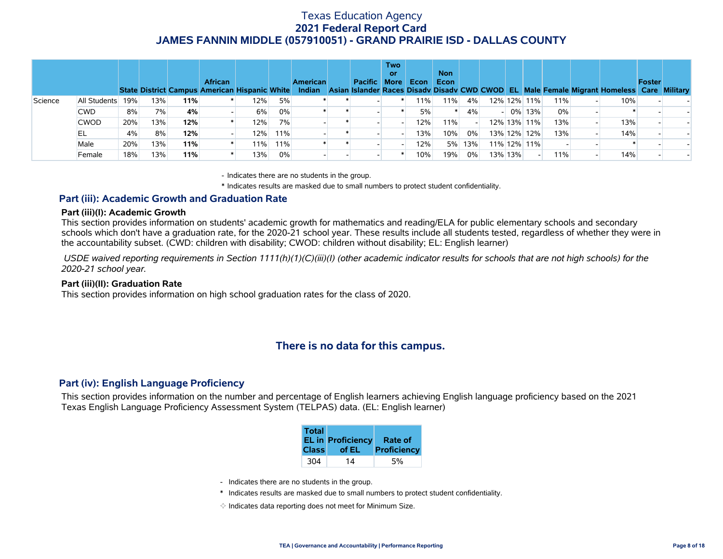|         |              |     |     |     | <b>African</b><br>State District Campus American Hispanic White |     |     | <b>American</b> | Pacific More | <b>Two</b><br>or | Econ | <b>Non</b><br>Econ |     |                          |             |        |     | Indian Asian Islander Races Disady Disady CWD CWOD EL Male Female Migrant Homeless Care Military | <b>Foster</b> |  |
|---------|--------------|-----|-----|-----|-----------------------------------------------------------------|-----|-----|-----------------|--------------|------------------|------|--------------------|-----|--------------------------|-------------|--------|-----|--------------------------------------------------------------------------------------------------|---------------|--|
| Science | All Students | 19% | 13% | 11% |                                                                 | 12% | 5%  |                 |              |                  | 11%  | $11\%$             | 4%  |                          | 12% 12% 11% |        | 11% | 10%                                                                                              |               |  |
|         | <b>CWD</b>   | 8%  | 7%  | 4%  |                                                                 | 6%  | 0%  |                 |              |                  | 5%   |                    | 4%  | $\overline{\phantom{0}}$ |             | 0% 13% | 0%  |                                                                                                  |               |  |
|         | <b>CWOD</b>  | 20% | 13% | 12% |                                                                 | 12% | 7%  |                 |              |                  | 12%  | 11%                |     |                          | 12% 13% 11% |        | 13% | 13%                                                                                              |               |  |
|         | EL           | 4%  | 8%  | 12% |                                                                 | 12% | 11% |                 |              |                  | 13%  | 10%                | 0%  |                          | 13% 12% 12% |        | 13% | 14%                                                                                              |               |  |
|         | Male         | 20% | 13% | 11% |                                                                 | 11% | 11% |                 |              |                  | 12%  | 5%                 | 13% |                          | 11% 12% 11% |        |     |                                                                                                  |               |  |
|         | Female       | 18% | 13% | 11% |                                                                 | 13% | 0%  |                 |              |                  | 10%  | 19%                | 0%  |                          | 13% 13%     |        | 11% | 14%                                                                                              |               |  |

- Indicates there are no students in the group.

\* Indicates results are masked due to small numbers to protect student confidentiality.

### **Part (iii): Academic Growth and Graduation Rate**

#### **Part (iii)(I): Academic Growth**

This section provides information on students' academic growth for mathematics and reading/ELA for public elementary schools and secondary schools which don't have a graduation rate, for the 2020-21 school year. These results include all students tested, regardless of whether they were in the accountability subset. (CWD: children with disability; CWOD: children without disability; EL: English learner)

 *USDE waived reporting requirements in Section 1111(h)(1)(C)(iii)(I) (other academic indicator results for schools that are not high schools) for the 2020-21 school year.*

#### **Part (iii)(II): Graduation Rate**

This section provides information on high school graduation rates for the class of 2020.

# **There is no data for this campus.**

### **Part (iv): English Language Proficiency**

This section provides information on the number and percentage of English learners achieving English language proficiency based on the 2021 Texas English Language Proficiency Assessment System (TELPAS) data. (EL: English learner)

| <b>Total</b> | <b>EL in Proficiency</b> | <b>Rate of</b> |
|--------------|--------------------------|----------------|
| <b>Class</b> | of EL                    | Proficiency    |
| 304          | 14                       |                |

- Indicates there are no students in the group.
- \* Indicates results are masked due to small numbers to protect student confidentiality.
- $\diamond$  Indicates data reporting does not meet for Minimum Size.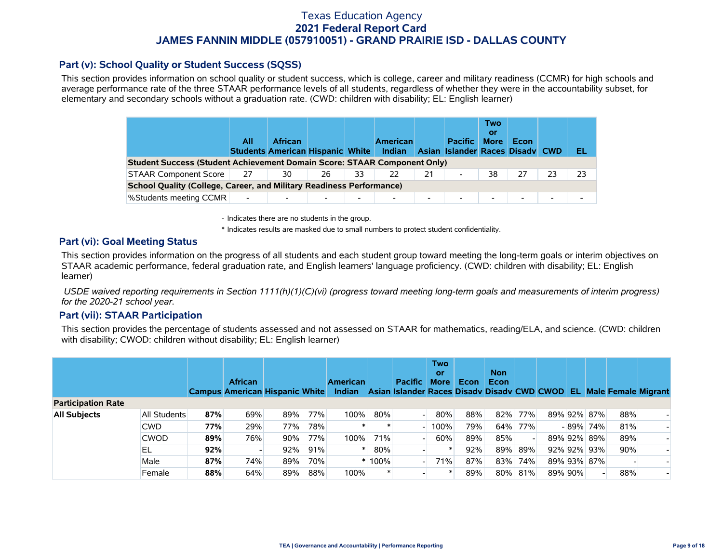### **Part (v): School Quality or Student Success (SQSS)**

This section provides information on school quality or student success, which is college, career and military readiness (CCMR) for high schools and average performance rate of the three STAAR performance levels of all students, regardless of whether they were in the accountability subset, for elementary and secondary schools without a graduation rate. (CWD: children with disability; EL: English learner)

|                                                                                 | All                      | <b>African</b><br><b>Students American Hispanic White</b> |    |                          | <b>American</b><br><b>Indian</b> |                          | <b>Pacific</b><br>Asian Islander Races Disady CWD | Two<br>or<br><b>More</b> | Econ   |    | EL |
|---------------------------------------------------------------------------------|--------------------------|-----------------------------------------------------------|----|--------------------------|----------------------------------|--------------------------|---------------------------------------------------|--------------------------|--------|----|----|
| <b>Student Success (Student Achievement Domain Score: STAAR Component Only)</b> |                          |                                                           |    |                          |                                  |                          |                                                   |                          |        |    |    |
| <b>STAAR Component Score</b>                                                    | 27                       | 30                                                        | 26 | 33                       | 22                               | 21                       | $\overline{\phantom{a}}$                          | 38                       |        | 23 | 23 |
| <b>School Quality (College, Career, and Military Readiness Performance)</b>     |                          |                                                           |    |                          |                                  |                          |                                                   |                          |        |    |    |
| <b>%Students meeting CCMR</b>                                                   | $\overline{\phantom{0}}$ | $\overline{\phantom{0}}$                                  |    | $\overline{\phantom{0}}$ | $\overline{\phantom{0}}$         | $\overline{\phantom{0}}$ | $\blacksquare$                                    | $\overline{\phantom{0}}$ | $\sim$ | -  |    |

- Indicates there are no students in the group.

\* Indicates results are masked due to small numbers to protect student confidentiality.

### **Part (vi): Goal Meeting Status**

This section provides information on the progress of all students and each student group toward meeting the long-term goals or interim objectives on STAAR academic performance, federal graduation rate, and English learners' language proficiency. (CWD: children with disability; EL: English learner)

 *USDE waived reporting requirements in Section 1111(h)(1)(C)(vi) (progress toward meeting long-term goals and measurements of interim progress) for the 2020-21 school year.*

### **Part (vii): STAAR Participation**

This section provides the percentage of students assessed and not assessed on STAAR for mathematics, reading/ELA, and science. (CWD: children with disability; CWOD: children without disability; EL: English learner)

|                           |              |     | <b>African</b><br><b>Campus American Hispanic White</b> |     |     | <b>American</b><br><b>Indian</b> |      | <b>Pacific</b><br>Asian Islander Races Disady Disady CWD CWOD EL | <b>Two</b><br>or<br><b>More</b> | Econ | <b>Non</b><br>Econ |     |         |             |     | <b>Male Female Migrant</b> |
|---------------------------|--------------|-----|---------------------------------------------------------|-----|-----|----------------------------------|------|------------------------------------------------------------------|---------------------------------|------|--------------------|-----|---------|-------------|-----|----------------------------|
| <b>Participation Rate</b> |              |     |                                                         |     |     |                                  |      |                                                                  |                                 |      |                    |     |         |             |     |                            |
| <b>All Subjects</b>       | All Students | 87% | 69%                                                     | 89% | 77% | 100%                             | 80%  |                                                                  | 80%                             | 88%  | 82%                | 77% |         | 89% 92% 87% | 88% |                            |
|                           | <b>CWD</b>   | 77% | 29%                                                     | 77% | 78% |                                  |      |                                                                  | 100%                            | 79%  | 64%                | 77% |         | -89% 74%    | 81% |                            |
|                           | <b>CWOD</b>  | 89% | 76%                                                     | 90% | 77% | 100%                             | 71%  |                                                                  | 60%                             | 89%  | 85%                |     |         | 89% 92% 89% | 89% |                            |
|                           | EL           | 92% |                                                         | 92% | 91% |                                  | 80%  |                                                                  |                                 | 92%  | 89%                | 89% |         | 92% 92% 93% | 90% |                            |
|                           | Male         | 87% | 74%                                                     | 89% | 70% |                                  | 100% |                                                                  | 71%                             | 87%  | 83%                | 74% |         | 89% 93% 87% |     |                            |
|                           | Female       | 88% | 64%                                                     | 89% | 88% | 100%                             |      |                                                                  |                                 | 89%  | 80%                | 81% | 89% 90% |             | 88% |                            |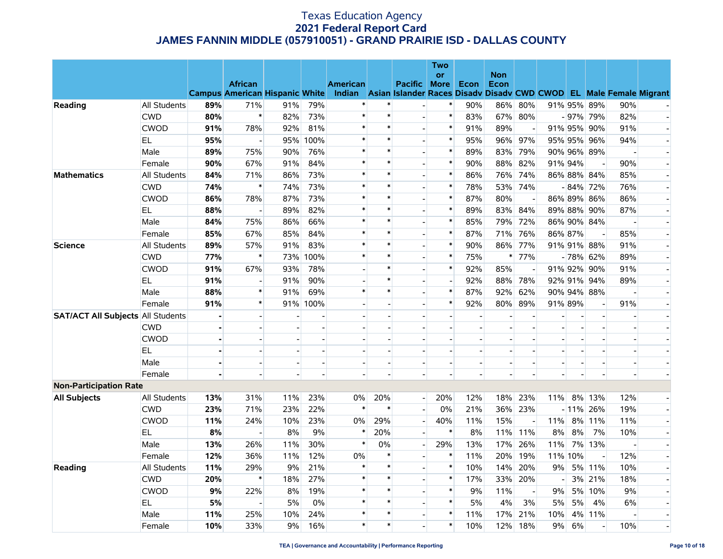|                                          |                     |     |                                                         |     |          |                                                                                              |                |                | <b>Two</b>               |                          |            |                          |                |         |                          |                          |  |
|------------------------------------------|---------------------|-----|---------------------------------------------------------|-----|----------|----------------------------------------------------------------------------------------------|----------------|----------------|--------------------------|--------------------------|------------|--------------------------|----------------|---------|--------------------------|--------------------------|--|
|                                          |                     |     |                                                         |     |          |                                                                                              |                |                | <b>or</b>                |                          | <b>Non</b> |                          |                |         |                          |                          |  |
|                                          |                     |     | <b>African</b><br><b>Campus American Hispanic White</b> |     |          | <b>American</b><br>Indian Asian Islander Races Disady Disady CWD CWOD EL Male Female Migrant |                | <b>Pacific</b> | <b>More</b>              | Econ                     | Econ       |                          |                |         |                          |                          |  |
| Reading                                  | All Students        | 89% | 71%                                                     | 91% | 79%      |                                                                                              | $\ast$         |                | $\ast$                   | 90%                      | 86%        | 80%                      |                |         | 91% 95% 89%              | 90%                      |  |
|                                          | <b>CWD</b>          | 80% | $\ast$                                                  | 82% | 73%      | $\ast$                                                                                       | $\ast$         |                | $\ast$                   | 83%                      | 67%        | 80%                      |                |         | $-97\%$ 79%              | 82%                      |  |
|                                          | <b>CWOD</b>         | 91% | 78%                                                     | 92% | 81%      | $\ast$                                                                                       | $\ast$         | $\overline{a}$ | $\ast$                   | 91%                      | 89%        | $\overline{\phantom{a}}$ |                | 91% 95% | 90%                      | 91%                      |  |
|                                          | EL.                 | 95% | $\overline{\phantom{a}}$                                | 95% | 100%     | $\ast$                                                                                       | $\ast$         | $\blacksquare$ | $\ast$                   | 95%                      | 96%        | 97%                      |                |         | 95% 95% 96%              | 94%                      |  |
|                                          | Male                | 89% | 75%                                                     | 90% | 76%      | $\ast$                                                                                       | $\ast$         |                | $\ast$                   | 89%                      | 83%        | 79%                      |                |         | 90% 96% 89%              |                          |  |
|                                          | Female              | 90% | 67%                                                     | 91% | 84%      | $\ast$                                                                                       | $\ast$         |                | $\ast$                   | 90%                      | 88%        | 82%                      |                | 91% 94% | $\blacksquare$           | 90%                      |  |
| <b>Mathematics</b>                       | All Students        | 84% | 71%                                                     | 86% | 73%      | $\ast$                                                                                       | $\ast$         | $\blacksquare$ | $\ast$                   | 86%                      | 76%        | 74%                      |                |         | 86% 88% 84%              | 85%                      |  |
|                                          | <b>CWD</b>          | 74% | $\ast$                                                  | 74% | 73%      | $\ast$                                                                                       | $\ast$         |                | $\pmb{\ast}$             | 78%                      | 53%        | 74%                      |                |         | $-84\%$ 72%              | 76%                      |  |
|                                          | <b>CWOD</b>         | 86% | 78%                                                     | 87% | 73%      | $\ast$                                                                                       | $\ast$         |                | $\ast$                   | 87%                      | 80%        | $\sim$                   |                |         | 86% 89% 86%              | 86%                      |  |
|                                          | EL.                 | 88% | $\overline{\phantom{a}}$                                | 89% | 82%      | $\ast$                                                                                       | $\ast$         | $\overline{a}$ | $\ast$                   | 89%                      | 83%        | 84%                      |                |         | 89% 88% 90%              | 87%                      |  |
|                                          | Male                | 84% | 75%                                                     | 86% | 66%      | $\ast$                                                                                       | $\ast$         |                | $\ast$                   | 85%                      | 79%        | 72%                      |                |         | 86% 90% 84%              |                          |  |
|                                          | Female              | 85% | 67%                                                     | 85% | 84%      | $\ast$                                                                                       | $\ast$         |                | $\ast$                   | 87%                      | 71%        | 76%                      |                | 86% 87% |                          | 85%                      |  |
| <b>Science</b>                           | All Students        | 89% | 57%                                                     | 91% | 83%      | $\ast$                                                                                       | $\ast$         | $\overline{a}$ | $\ast$                   | 90%                      | 86%        | 77%                      |                |         | 91% 91% 88%              | 91%                      |  |
|                                          | <b>CWD</b>          | 77% | $\ast$                                                  | 73% | 100%     | $\ast$                                                                                       | $\ast$         | $\blacksquare$ | $\ast$                   | 75%                      | $\ast$     | 77%                      |                |         | $-78\%$ 62%              | 89%                      |  |
|                                          | <b>CWOD</b>         | 91% | 67%                                                     | 93% | 78%      |                                                                                              | $\ast$         |                | $\ast$                   | 92%                      | 85%        |                          |                |         | 91% 92% 90%              | 91%                      |  |
|                                          | EL                  | 91% |                                                         | 91% | 90%      |                                                                                              | $\ast$         | $\overline{a}$ | $\blacksquare$           | 92%                      | 88%        | 78%                      |                | 92% 91% | 94%                      | 89%                      |  |
|                                          | Male                | 88% | $\ast$                                                  | 91% | 69%      | $\ast$                                                                                       | $\ast$         |                | $\ast$                   | 87%                      | 92%        | 62%                      |                |         | 90% 94% 88%              | $\overline{\phantom{a}}$ |  |
|                                          | Female              | 91% | $\ast$                                                  |     | 91% 100% |                                                                                              |                |                | $\ast$                   | 92%                      | 80%        | 89%                      |                | 91% 89% | $\overline{\phantom{a}}$ | 91%                      |  |
| <b>SAT/ACT All Subjects All Students</b> |                     |     |                                                         |     |          |                                                                                              |                |                |                          |                          |            |                          |                |         |                          |                          |  |
|                                          | CWD                 |     | $\overline{a}$                                          |     |          |                                                                                              | $\overline{a}$ |                |                          | $\overline{a}$           |            | $\overline{a}$           | $\overline{a}$ |         |                          | $\overline{a}$           |  |
|                                          | <b>CWOD</b>         |     | $\blacksquare$                                          |     |          |                                                                                              |                |                | $\overline{\phantom{a}}$ |                          |            | $\blacksquare$           |                |         |                          | $\overline{\phantom{a}}$ |  |
|                                          | EL                  |     |                                                         |     |          |                                                                                              |                |                |                          |                          |            |                          |                |         |                          |                          |  |
|                                          | Male                |     | $\overline{a}$                                          |     |          |                                                                                              | $\overline{a}$ |                | $\blacksquare$           | $\overline{\phantom{0}}$ |            | $\sim$                   |                |         |                          | $\overline{a}$           |  |
|                                          | Female              |     |                                                         |     |          |                                                                                              |                |                |                          |                          |            |                          |                |         |                          |                          |  |
| <b>Non-Participation Rate</b>            |                     |     |                                                         |     |          |                                                                                              |                |                |                          |                          |            |                          |                |         |                          |                          |  |
| <b>All Subjects</b>                      | All Students        | 13% | 31%                                                     | 11% | 23%      | 0%                                                                                           | 20%            | $\overline{a}$ | 20%                      | 12%                      | 18%        | 23%                      | 11%            |         | 8% 13%                   | 12%                      |  |
|                                          | <b>CWD</b>          | 23% | 71%                                                     | 23% | 22%      | $\ast$                                                                                       | $\ast$         |                | 0%                       | 21%                      | 36%        | 23%                      |                |         | $-11\%$ 26%              | 19%                      |  |
|                                          | <b>CWOD</b>         | 11% | 24%                                                     | 10% | 23%      | 0%                                                                                           | 29%            |                | 40%                      | 11%                      | 15%        |                          | 11%            |         | 8% 11%                   | 11%                      |  |
|                                          | EL                  | 8%  |                                                         | 8%  | 9%       | $\ast$                                                                                       | 20%            |                | $\ast$                   | 8%                       | 11%        | 11%                      | 8%             | 8%      | 7%                       | 10%                      |  |
|                                          | Male                | 13% | 26%                                                     | 11% | 30%      | $\ast$                                                                                       | 0%             |                | 29%                      | 13%                      | 17%        | 26%                      | 11%            |         | 7% 13%                   | $\sim$                   |  |
|                                          | Female              | 12% | 36%                                                     | 11% | 12%      | 0%                                                                                           | $\ast$         |                | $\ast$                   | 11%                      | 20%        | 19%                      | 11%            | 10%     | $\overline{a}$           | 12%                      |  |
| Reading                                  | <b>All Students</b> | 11% | 29%                                                     | 9%  | 21%      | $\ast$                                                                                       | $\ast$         |                | $\ast$                   | 10%                      | 14%        | 20%                      | 9%             |         | 5% 11%                   | 10%                      |  |
|                                          | <b>CWD</b>          | 20% | $\ast$                                                  | 18% | 27%      | $\ast$                                                                                       | $\ast$         |                | $\ast$                   | 17%                      | 33%        | 20%                      |                |         | 3% 21%                   | 18%                      |  |
|                                          | CWOD                | 9%  | 22%                                                     | 8%  | 19%      | $\ast$                                                                                       | $\ast$         |                | $\ast$                   | 9%                       | 11%        | $\overline{\phantom{a}}$ | 9%             |         | 5% 10%                   | 9%                       |  |
|                                          | EL.                 | 5%  |                                                         | 5%  | 0%       | $\ast$                                                                                       | $\ast$         |                | $\ast$                   | 5%                       | 4%         | 3%                       | 5%             | 5%      | 4%                       | 6%                       |  |
|                                          | Male                | 11% | 25%                                                     | 10% | 24%      | $\ast$                                                                                       | $\ast$         | $\overline{a}$ | $\ast$                   | 11%                      | 17%        | 21%                      | 10%            |         | 4% 11%                   |                          |  |
|                                          | Female              | 10% | 33%                                                     | 9%  | 16%      | $\ast$                                                                                       | $\ast$         |                | $\ast$                   | 10%                      | 12%        | 18%                      | 9%             | 6%      |                          | 10%                      |  |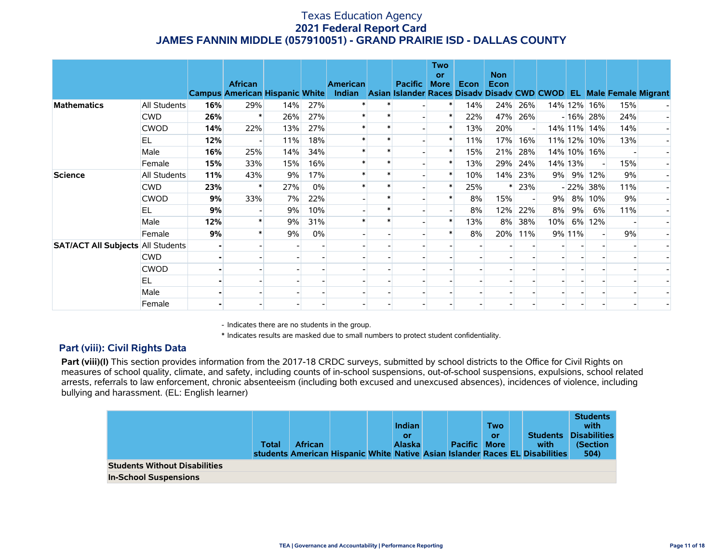|                                          |              |     | <b>African</b><br><b>Campus American Hispanic White</b> |     |       | <b>American</b><br>Indian Asian Islander Races Disadv Disadv CWD CWOD EL Male Female Migrant | <b>Pacific</b> | <b>Two</b><br>or<br><b>More</b> | Econ | <b>Non</b><br>Econ |                          |     |         |             |     |  |
|------------------------------------------|--------------|-----|---------------------------------------------------------|-----|-------|----------------------------------------------------------------------------------------------|----------------|---------------------------------|------|--------------------|--------------------------|-----|---------|-------------|-----|--|
| <b>Mathematics</b>                       | All Students | 16% | 29%                                                     | 14% | 27%   |                                                                                              |                |                                 | 14%  | 24%                | 26%                      |     |         | 14% 12% 16% | 15% |  |
|                                          | <b>CWD</b>   | 26% | ∗                                                       | 26% | 27%   |                                                                                              |                |                                 | 22%  | 47%                | 26%                      |     |         | $-16\%$ 28% | 24% |  |
|                                          | <b>CWOD</b>  | 14% | 22%                                                     | 13% | 27%   |                                                                                              |                | $\ast$                          | 13%  | 20%                |                          |     |         | 14% 11% 14% | 14% |  |
|                                          | EL           | 12% |                                                         | 11% | 18%   |                                                                                              |                |                                 | 11%  | 17%                | 16%                      |     |         | 11% 12% 10% | 13% |  |
|                                          | Male         | 16% | 25%                                                     | 14% | 34%   |                                                                                              |                |                                 | 15%  | 21%                | 28%                      |     |         | 14% 10% 16% |     |  |
|                                          | Female       | 15% | 33%                                                     | 15% | 16%   |                                                                                              |                |                                 | 13%  | 29%                | 24%                      |     | 14% 13% |             | 15% |  |
| <b>Science</b>                           | All Students | 11% | 43%                                                     | 9%  | 17%   |                                                                                              |                |                                 | 10%  | 14%                | 23%                      |     |         | 9% 9% 12%   | 9%  |  |
|                                          | <b>CWD</b>   | 23% | $\ast$                                                  | 27% | $0\%$ |                                                                                              |                |                                 | 25%  |                    | 23%                      |     |         | $-22\%$ 38% | 11% |  |
|                                          | <b>CWOD</b>  | 9%  | 33%                                                     | 7%  | 22%   |                                                                                              |                |                                 | 8%   | 15%                | $\overline{\phantom{a}}$ | 9%  |         | 8% 10%      | 9%  |  |
|                                          | EL           | 9%  |                                                         | 9%  | 10%   |                                                                                              |                |                                 | 8%   | 12%                | 22%                      | 8%  | 9%      | 6%          | 11% |  |
|                                          | Male         | 12% |                                                         | 9%  | 31%   |                                                                                              |                | $\ast$                          | 13%  | 8%                 | 38%                      | 10% |         | 6% 12%      |     |  |
|                                          | Female       | 9%  |                                                         | 9%  | $0\%$ |                                                                                              |                |                                 | 8%   | 20%                | 11%                      |     | 9% 11%  |             | 9%  |  |
| <b>SAT/ACT All Subjects All Students</b> |              |     |                                                         |     |       |                                                                                              |                |                                 |      |                    |                          |     |         |             |     |  |
|                                          | <b>CWD</b>   |     |                                                         |     |       |                                                                                              |                |                                 |      |                    |                          |     |         |             |     |  |
|                                          | <b>CWOD</b>  |     |                                                         |     |       |                                                                                              |                |                                 |      |                    |                          |     |         |             |     |  |
|                                          | <b>EL</b>    |     |                                                         |     |       |                                                                                              |                |                                 |      |                    |                          |     |         |             |     |  |
|                                          | Male         |     |                                                         |     |       |                                                                                              |                |                                 |      |                    |                          |     |         |             |     |  |
|                                          | Female       |     |                                                         |     |       |                                                                                              |                |                                 |      |                    |                          |     |         |             |     |  |

- Indicates there are no students in the group.

\* Indicates results are masked due to small numbers to protect student confidentiality.

### **Part (viii): Civil Rights Data**

Part (viii)(I) This section provides information from the 2017-18 CRDC surveys, submitted by school districts to the Office for Civil Rights on measures of school quality, climate, and safety, including counts of in-school suspensions, out-of-school suspensions, expulsions, school related arrests, referrals to law enforcement, chronic absenteeism (including both excused and unexcused absences), incidences of violence, including bullying and harassment. (EL: English learner)

|                                      | Total | <b>African</b> |  | <b>Indian</b><br>or<br><b>Alaska</b> | <b>Pacific More</b> | <b>Two</b><br>or | <b>Students</b><br>with<br>students American Hispanic White Native Asian Islander Races EL Disabilities | <b>Students</b><br>with<br><b>Disabilities</b><br>(Section<br>504) |
|--------------------------------------|-------|----------------|--|--------------------------------------|---------------------|------------------|---------------------------------------------------------------------------------------------------------|--------------------------------------------------------------------|
| <b>Students Without Disabilities</b> |       |                |  |                                      |                     |                  |                                                                                                         |                                                                    |
| <b>In-School Suspensions</b>         |       |                |  |                                      |                     |                  |                                                                                                         |                                                                    |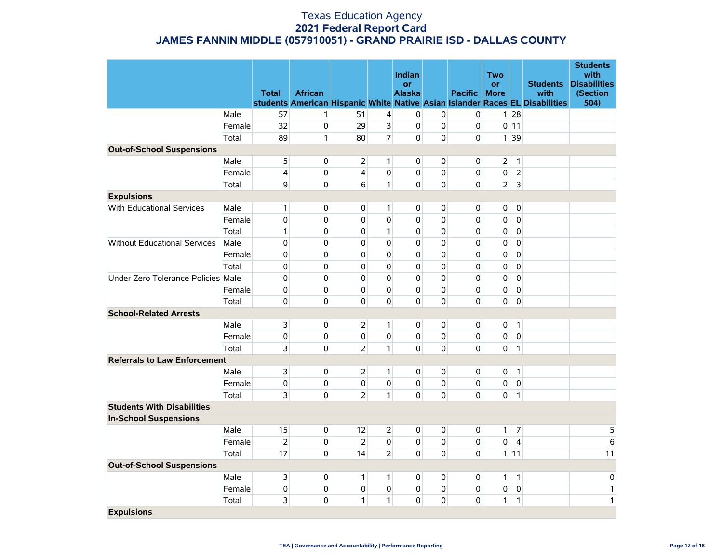|                                     |        |                |                |                |                         | Indian              |                |                | <b>Two</b>               |                           |                                                                              | <b>Students</b><br>with         |
|-------------------------------------|--------|----------------|----------------|----------------|-------------------------|---------------------|----------------|----------------|--------------------------|---------------------------|------------------------------------------------------------------------------|---------------------------------|
|                                     |        | <b>Total</b>   | <b>African</b> |                |                         | or<br><b>Alaska</b> |                | <b>Pacific</b> | <b>or</b><br><b>More</b> |                           | <b>Students</b><br>with                                                      | <b>Disabilities</b><br>(Section |
|                                     |        |                |                |                |                         |                     |                |                |                          |                           | students American Hispanic White Native Asian Islander Races EL Disabilities | 504)                            |
|                                     | Male   | 57             | $\mathbf{1}$   | 51             | $\overline{\mathbf{r}}$ | $\pmb{0}$           | 0              | $\overline{0}$ |                          | $1 \overline{28}$         |                                                                              |                                 |
|                                     | Female | 32             | $\pmb{0}$      | 29             | $\overline{\mathbf{3}}$ | $\mathbf 0$         | $\mathsf 0$    | 0              |                          | $0$ 11                    |                                                                              |                                 |
|                                     | Total  | 89             | $\mathbf{1}$   | 80             | 7                       | $\Omega$            | $\mathbf 0$    | $\Omega$       |                          | $1 \overline{\smash{39}}$ |                                                                              |                                 |
| <b>Out-of-School Suspensions</b>    |        |                |                |                |                         |                     |                |                |                          |                           |                                                                              |                                 |
|                                     | Male   | 5              | $\overline{0}$ | $\overline{2}$ | 1                       | $\overline{0}$      | $\mathbf 0$    | $\overline{0}$ | 2                        | $\mathbf{1}$              |                                                                              |                                 |
|                                     | Female | 4              | 0              | $\overline{4}$ | $\mathbf 0$             | $\overline{0}$      | $\mathbf 0$    | $\overline{0}$ | 0                        | $\overline{2}$            |                                                                              |                                 |
|                                     | Total  | 9              | $\overline{0}$ | 6              | $\mathbf{1}$            | $\overline{0}$      | $\mathbf 0$    | $\overline{0}$ | $\overline{2}$           | $\overline{3}$            |                                                                              |                                 |
| <b>Expulsions</b>                   |        |                |                |                |                         |                     |                |                |                          |                           |                                                                              |                                 |
| <b>With Educational Services</b>    | Male   | 1              | $\overline{0}$ | $\mathbf{0}$   | 1                       | $\overline{0}$      | $\mathbf 0$    | $\overline{0}$ | 0                        | $\mathbf 0$               |                                                                              |                                 |
|                                     | Female | $\mathbf 0$    | $\mathbf{0}$   | 0              | 0                       | $\overline{0}$      | $\mathbf 0$    | 0              | 0                        | $\mathbf 0$               |                                                                              |                                 |
|                                     | Total  | $\mathbf{1}$   | $\mathbf 0$    | 0              | $\mathbf{1}$            | $\Omega$            | $\mathbf 0$    | 0              | 0                        | $\mathbf 0$               |                                                                              |                                 |
| Without Educational Services        | Male   | $\pmb{0}$      | $\mathbf{0}$   | 0              | $\Omega$                | $\overline{0}$      | $\mathbf 0$    | 0              | 0                        | $\mathbf 0$               |                                                                              |                                 |
|                                     | Female | $\mathbf 0$    | $\mathbf{0}$   | 0              | $\mathbf 0$             | $\mathbf{0}$        | $\mathbf 0$    | 0              | 0                        | $\mathbf 0$               |                                                                              |                                 |
|                                     | Total  | 0              | $\mathbf{0}$   | 0              | $\mathbf 0$             | $\overline{0}$      | $\mathbf 0$    | 0              | 0                        | $\mathbf 0$               |                                                                              |                                 |
| Under Zero Tolerance Policies Male  |        | $\mathbf 0$    | $\mathbf{0}$   | 0              | 0                       | $\Omega$            | $\Omega$       | 0              | 0                        | $\overline{0}$            |                                                                              |                                 |
|                                     | Female | 0              | 0              | 0              | 0                       | $\overline{0}$      | $\mathbf 0$    | 0              | 0                        | $\mathbf 0$               |                                                                              |                                 |
|                                     | Total  | $\mathbf 0$    | 0              | 0              | 0                       | $\Omega$            | 0              | 0              | 0                        | $\mathbf 0$               |                                                                              |                                 |
| <b>School-Related Arrests</b>       |        |                |                |                |                         |                     |                |                |                          |                           |                                                                              |                                 |
|                                     | Male   | 3              | $\overline{0}$ | $\overline{2}$ | $\mathbf{1}$            | $\overline{0}$      | $\overline{0}$ | $\overline{0}$ | 0                        | $\mathbf{1}$              |                                                                              |                                 |
|                                     | Female | 0              | 0              | $\overline{0}$ | 0                       | $\overline{0}$      | 0              | 0              | 0                        | $\pmb{0}$                 |                                                                              |                                 |
|                                     | Total  | 3              | $\mathbf{0}$   | $\overline{2}$ | $\mathbf{1}$            | $\Omega$            | $\mathbf 0$    | $\overline{0}$ | 0                        | $\mathbf{1}$              |                                                                              |                                 |
| <b>Referrals to Law Enforcement</b> |        |                |                |                |                         |                     |                |                |                          |                           |                                                                              |                                 |
|                                     | Male   | 3              | $\overline{0}$ | $\overline{2}$ | 1                       | $\overline{0}$      | $\mathbf 0$    | $\overline{0}$ | 0                        | $\mathbf{1}$              |                                                                              |                                 |
|                                     | Female | 0              | 0              | $\overline{0}$ | $\mathbf 0$             | $\overline{0}$      | 0              | $\overline{0}$ | 0                        | $\mathbf 0$               |                                                                              |                                 |
|                                     | Total  | 3              | $\mathbf{0}$   | $\overline{2}$ | $\mathbf{1}$            | $\Omega$            | $\mathbf 0$    | $\Omega$       | $\overline{0}$           | $\mathbf{1}$              |                                                                              |                                 |
| <b>Students With Disabilities</b>   |        |                |                |                |                         |                     |                |                |                          |                           |                                                                              |                                 |
| <b>In-School Suspensions</b>        |        |                |                |                |                         |                     |                |                |                          |                           |                                                                              |                                 |
|                                     | Male   | 15             | $\overline{0}$ | 12             | 2                       | $\overline{0}$      | 0              | 0              | 1                        | $\overline{7}$            |                                                                              | 5                               |
|                                     | Female | $\overline{2}$ | 0              | $\overline{2}$ | $\mathbf 0$             | $\mathbf{0}$        | $\mathbf 0$    | 0              | 0                        | $\overline{4}$            |                                                                              | 6                               |
|                                     | Total  | 17             | $\mathbf{0}$   | 14             | $\overline{2}$          | $\overline{0}$      | $\mathbf 0$    | 0              |                          | $1$ 11                    |                                                                              | 11                              |
| <b>Out-of-School Suspensions</b>    |        |                |                |                |                         |                     |                |                |                          |                           |                                                                              |                                 |
|                                     | Male   | 3              | $\overline{0}$ | 1              | $\mathbf{1}$            | $\overline{0}$      | 0              | $\overline{0}$ | 1                        | $\vert$                   |                                                                              | 0                               |
|                                     | Female | 0              | $\mathbf{0}$   | 0              | 0                       | $\overline{0}$      | $\mathbf 0$    | $\overline{0}$ | 0                        | $\pmb{0}$                 |                                                                              | $\mathbf{1}$                    |
|                                     | Total  | 3              | 0              | 1              | $\mathbf{1}$            | $\overline{0}$      | $\mathbf 0$    | 0              | $\mathbf{1}$             | 1                         |                                                                              | 1                               |
| <b>Expulsions</b>                   |        |                |                |                |                         |                     |                |                |                          |                           |                                                                              |                                 |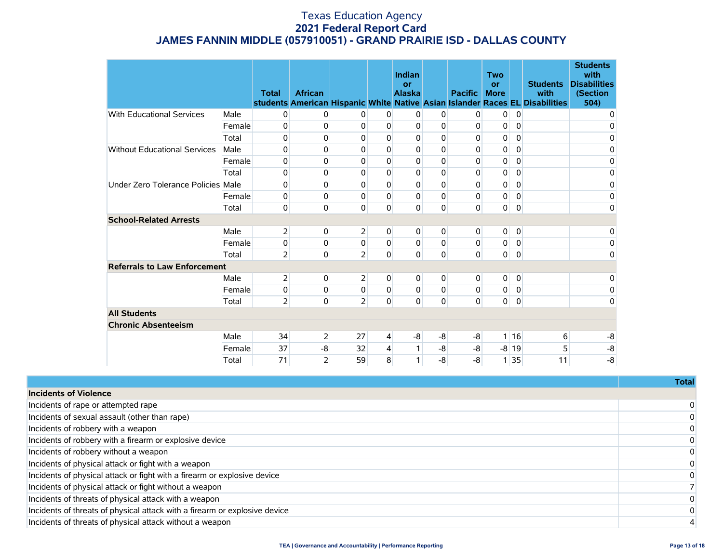|                                     |        | <b>Total</b>   | <b>African</b> |                |             | Indian<br>or<br><b>Alaska</b> |             | <b>Pacific</b> | <b>Two</b><br>or<br><b>More</b> |             | <b>Students</b><br>with<br>students American Hispanic White Native Asian Islander Races EL Disabilities | <b>Students</b><br>with<br><b>Disabilities</b><br>(Section<br>504) |
|-------------------------------------|--------|----------------|----------------|----------------|-------------|-------------------------------|-------------|----------------|---------------------------------|-------------|---------------------------------------------------------------------------------------------------------|--------------------------------------------------------------------|
| <b>With Educational Services</b>    | Male   | 0              | $\mathbf{0}$   | 0              | 0           | 0                             | 0           | 0              | 0                               | 0           |                                                                                                         | 0                                                                  |
|                                     | Female | 0              | 0              | 0              | 0           | $\mathbf{0}$                  | 0           | 0              | 0                               | $\mathbf 0$ |                                                                                                         | 0                                                                  |
|                                     | Total  | 0              | $\mathbf{0}$   | 0              | 0           | $\mathbf{0}$                  | 0           | 0              | 0                               | 0           |                                                                                                         | 0                                                                  |
| <b>Without Educational Services</b> | Male   | 0              | $\mathbf 0$    | 0              | $\mathbf 0$ | $\mathbf{0}$                  | $\mathbf 0$ | 0              | 0                               | $\mathbf 0$ |                                                                                                         | 0                                                                  |
|                                     | Female | 0              | 0              | $\Omega$       | $\Omega$    | $\Omega$                      | 0           | 0              | 0                               | $\mathbf 0$ |                                                                                                         | 0                                                                  |
|                                     | Total  | 0              | $\mathbf{0}$   | $\mathbf 0$    | 0           | $\mathbf 0$                   | 0           | 0              | 0                               | $\mathbf 0$ |                                                                                                         | 0                                                                  |
| Under Zero Tolerance Policies Male  |        | 0              | 0              | 0              | $\mathbf 0$ | $\mathbf{0}$                  | 0           | 0              | 0                               | $\mathbf 0$ |                                                                                                         | 0                                                                  |
|                                     | Female | 0              | 0              | 0              | $\Omega$    | 0                             | $\mathbf 0$ | 0              | 0                               | $\mathbf 0$ |                                                                                                         | $\mathsf 0$                                                        |
| Total                               |        | 0              | $\mathbf 0$    | $\mathbf 0$    | $\Omega$    | $\mathbf 0$                   | 0           | 0              | 0                               | $\mathbf 0$ |                                                                                                         | 0                                                                  |
| <b>School-Related Arrests</b>       |        |                |                |                |             |                               |             |                |                                 |             |                                                                                                         |                                                                    |
|                                     | Male   | $\overline{2}$ | $\overline{0}$ | $\overline{2}$ | 0           | 0                             | 0           | 0              | 0                               | 0           |                                                                                                         | 0                                                                  |
|                                     | Female | 0              | 0              | 0              | $\Omega$    | $\mathbf{0}$                  | $\Omega$    | 0              | 0                               | $\mathbf 0$ |                                                                                                         | 0                                                                  |
|                                     | Total  | $\overline{2}$ | $\mathbf 0$    | $\overline{2}$ | 0           | $\mathbf 0$                   | 0           | 0              | $\overline{0}$                  | $\mathbf 0$ |                                                                                                         | 0                                                                  |
| <b>Referrals to Law Enforcement</b> |        |                |                |                |             |                               |             |                |                                 |             |                                                                                                         |                                                                    |
|                                     | Male   | 2              | $\mathbf{0}$   | $\overline{2}$ | 0           | 0                             | 0           | 0              | $\overline{0}$                  | 0           |                                                                                                         | 0                                                                  |
|                                     | Female | 0              | $\mathbf 0$    | 0              | 0           | 0                             | $\mathbf 0$ | 0              | 0                               | $\pmb{0}$   |                                                                                                         | 0                                                                  |
|                                     | Total  | $\overline{2}$ | $\mathbf 0$    | $\overline{2}$ | 0           | 0                             | $\mathbf 0$ | 0              | $\overline{0}$                  | $\mathbf 0$ |                                                                                                         | 0                                                                  |
| <b>All Students</b>                 |        |                |                |                |             |                               |             |                |                                 |             |                                                                                                         |                                                                    |
| <b>Chronic Absenteeism</b>          |        |                |                |                |             |                               |             |                |                                 |             |                                                                                                         |                                                                    |
|                                     | Male   | 34             | $\overline{2}$ | 27             | 4           | -8                            | -8          | -8             |                                 | 1116        | 6                                                                                                       | -8                                                                 |
|                                     | Female | 37             | -8             | 32             | 4           |                               | $-8$        | -8             |                                 | $-8$ 19     | 5                                                                                                       | $-8$                                                               |
|                                     | Total  | 71             | $\overline{2}$ | 59             | 8           | 1                             | $-8$        | -8             |                                 | 1 35        | 11                                                                                                      | $-8$                                                               |

|                                                                            | Total          |
|----------------------------------------------------------------------------|----------------|
| <b>Incidents of Violence</b>                                               |                |
| Incidents of rape or attempted rape                                        | $\overline{0}$ |
| Incidents of sexual assault (other than rape)                              | $\overline{0}$ |
| Incidents of robbery with a weapon                                         | $\Omega$       |
| Incidents of robbery with a firearm or explosive device                    | $\Omega$       |
| Incidents of robbery without a weapon                                      | $\Omega$       |
| Incidents of physical attack or fight with a weapon                        | $\Omega$       |
| Incidents of physical attack or fight with a firearm or explosive device   | $\Omega$       |
| Incidents of physical attack or fight without a weapon                     |                |
| Incidents of threats of physical attack with a weapon                      | $\Omega$       |
| Incidents of threats of physical attack with a firearm or explosive device | $\Omega$       |
| Incidents of threats of physical attack without a weapon                   |                |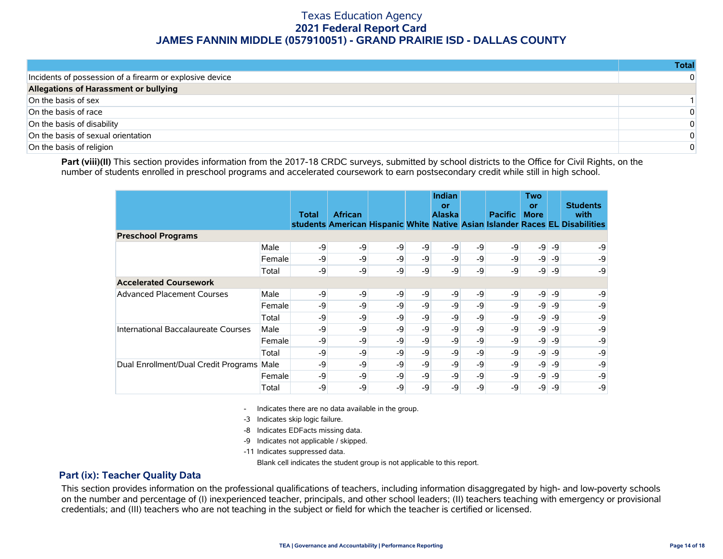|                                                          | Total    |
|----------------------------------------------------------|----------|
| Incidents of possession of a firearm or explosive device | $\Omega$ |
| Allegations of Harassment or bullying                    |          |
| On the basis of sex                                      |          |
| On the basis of race                                     | $\Omega$ |
| On the basis of disability                               | $\Omega$ |
| On the basis of sexual orientation                       | $\Omega$ |
| On the basis of religion                                 | $\Omega$ |

Part (viii)(II) This section provides information from the 2017-18 CRDC surveys, submitted by school districts to the Office for Civil Rights, on the number of students enrolled in preschool programs and accelerated coursework to earn postsecondary credit while still in high school.

|                                      |        | <b>Total</b> | <b>African</b> |      |      | Indian<br>or<br><b>Alaska</b> |      | <b>Pacific</b> | Two<br>or<br><b>More</b> |      | <b>Students</b><br>with<br>students American Hispanic White Native Asian Islander Races EL Disabilities |
|--------------------------------------|--------|--------------|----------------|------|------|-------------------------------|------|----------------|--------------------------|------|---------------------------------------------------------------------------------------------------------|
| <b>Preschool Programs</b>            |        |              |                |      |      |                               |      |                |                          |      |                                                                                                         |
|                                      | Male   | -9           | -9             | $-9$ | -9   | $-9$                          | -9   | -9             | $-9$                     | $-9$ | -9                                                                                                      |
|                                      | Female | -9           | -9             | -9   | -9   | -9                            | -9   | -9             | $-9$                     | -9   | -9                                                                                                      |
|                                      | Total  | -9           | -9             | -9   | -9   | -9                            | -9   | -9             | $-9$                     | -9   | -9                                                                                                      |
| <b>Accelerated Coursework</b>        |        |              |                |      |      |                               |      |                |                          |      |                                                                                                         |
| <b>Advanced Placement Courses</b>    | Male   | -9           | -9             | -9   | -9   | -9                            | -9   | -9             | $-9$                     | -9   | -9                                                                                                      |
|                                      | Female | -9           | -9             | $-9$ | -9   | -9                            | -9   | -9             | $-9$                     | -9   | -9                                                                                                      |
|                                      | Total  | -9           | $-9$           | $-9$ | $-9$ | -9                            | -9   | -9             | $-9$                     | -9   | -9                                                                                                      |
| International Baccalaureate Courses  | Male   | -9           | -9             | $-9$ | -9   | -9                            | -9   | -9             | $-9$                     | -9   | -9                                                                                                      |
|                                      | Female | -9           | -9             | -9   | $-9$ | -9                            | -9   | -9             | $-9$                     | -9   | -9                                                                                                      |
|                                      | Total  | -9           | -9             | $-9$ | -9   | $-9$                          | -9   | -9             | $-9$                     | -9   | -9                                                                                                      |
| Dual Enrollment/Dual Credit Programs | Male   | -9           | -9             | -9   | -9   | $-9$                          | -9   | -9             | $-9$                     | -9   | -9                                                                                                      |
|                                      | Female | -9           | -9             | -9   | $-9$ | $-9$                          | $-9$ | -9             | -9                       | -9   | -9                                                                                                      |
|                                      | Total  | -9           | -9             | -9   | -9   | -9                            | -9   | -9             | -9                       | -9   | -9                                                                                                      |

- Indicates there are no data available in the group.

-3 Indicates skip logic failure.

-8 Indicates EDFacts missing data.

-9 Indicates not applicable / skipped.

-11 Indicates suppressed data.

Blank cell indicates the student group is not applicable to this report.

#### **Part (ix): Teacher Quality Data**

This section provides information on the professional qualifications of teachers, including information disaggregated by high- and low-poverty schools on the number and percentage of (I) inexperienced teacher, principals, and other school leaders; (II) teachers teaching with emergency or provisional credentials; and (III) teachers who are not teaching in the subject or field for which the teacher is certified or licensed.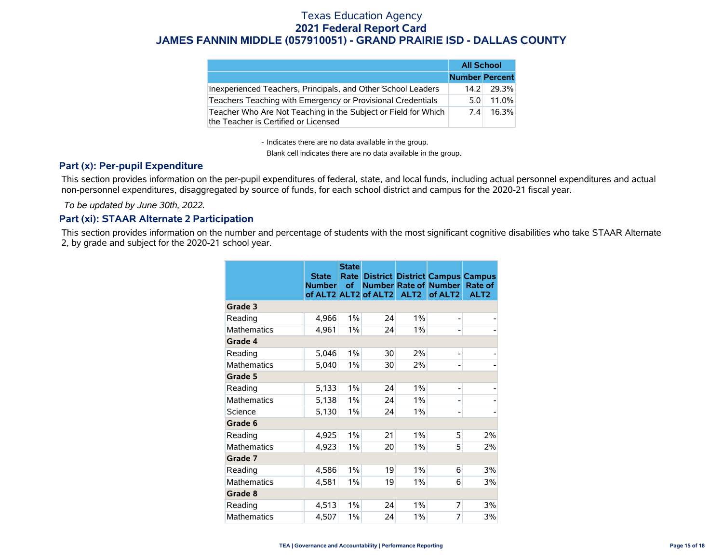|                                                                                                        | <b>All School</b>     |       |
|--------------------------------------------------------------------------------------------------------|-----------------------|-------|
|                                                                                                        | <b>Number Percent</b> |       |
| Inexperienced Teachers, Principals, and Other School Leaders                                           | 14.2                  | 29.3% |
| Teachers Teaching with Emergency or Provisional Credentials                                            | 5.0                   | 11.0% |
| Teacher Who Are Not Teaching in the Subject or Field for Which<br>the Teacher is Certified or Licensed | 7.4                   | 16.3% |

- Indicates there are no data available in the group.

Blank cell indicates there are no data available in the group.

### **Part (x): Per-pupil Expenditure**

This section provides information on the per-pupil expenditures of federal, state, and local funds, including actual personnel expenditures and actual non-personnel expenditures, disaggregated by source of funds, for each school district and campus for the 2020-21 fiscal year.

 *To be updated by June 30th, 2022.*

### **Part (xi): STAAR Alternate 2 Participation**

This section provides information on the number and percentage of students with the most significant cognitive disabilities who take STAAR Alternate 2, by grade and subject for the 2020-21 school year.

|                    | <b>State</b><br><b>Number</b> | <b>State</b><br>Rate<br>of | of ALT2 ALT2 of ALT2 | ALT <sub>2</sub> | <b>District District Campus Campus</b><br><b>Number Rate of Number</b><br>of ALT <sub>2</sub> | Rate of<br>ALT <sub>2</sub> |
|--------------------|-------------------------------|----------------------------|----------------------|------------------|-----------------------------------------------------------------------------------------------|-----------------------------|
| Grade 3            |                               |                            |                      |                  |                                                                                               |                             |
| Reading            | 4,966                         | 1%                         | 24                   | 1%               | -                                                                                             |                             |
| <b>Mathematics</b> | 4,961                         | 1%                         | 24                   | 1%               |                                                                                               |                             |
| Grade 4            |                               |                            |                      |                  |                                                                                               |                             |
| Reading            | 5,046                         | 1%                         | 30                   | 2%               | -                                                                                             |                             |
| <b>Mathematics</b> | 5,040                         | 1%                         | 30                   | 2%               |                                                                                               |                             |
| Grade 5            |                               |                            |                      |                  |                                                                                               |                             |
| Reading            | 5,133                         | 1%                         | 24                   | 1%               | $\overline{a}$                                                                                |                             |
| <b>Mathematics</b> | 5,138                         | 1%                         | 24                   | 1%               | $\overline{a}$                                                                                |                             |
| Science            | 5,130                         | 1%                         | 24                   | 1%               | -                                                                                             |                             |
| Grade 6            |                               |                            |                      |                  |                                                                                               |                             |
| Reading            | 4,925                         | 1%                         | 21                   | 1%               | 5                                                                                             | 2%                          |
| Mathematics        | 4,923                         | 1%                         | 20                   | 1%               | 5                                                                                             | 2%                          |
| Grade 7            |                               |                            |                      |                  |                                                                                               |                             |
| Reading            | 4,586                         | 1%                         | 19                   | 1%               | 6                                                                                             | 3%                          |
| <b>Mathematics</b> | 4,581                         | 1%                         | 19                   | 1%               | 6                                                                                             | 3%                          |
| Grade 8            |                               |                            |                      |                  |                                                                                               |                             |
| Reading            | 4,513                         | 1%                         | 24                   | 1%               | 7                                                                                             | 3%                          |
| <b>Mathematics</b> | 4,507                         | 1%                         | 24                   | 1%               | 7                                                                                             | 3%                          |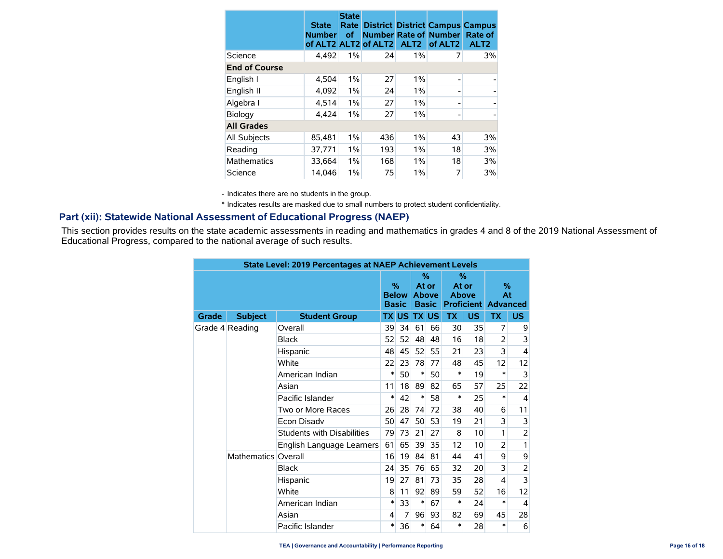|                      | <b>State</b><br><b>Number</b> | <b>State</b><br>Rate<br><b>of</b> | of ALT2 ALT2 of ALT2 | ALT <sub>2</sub> | <b>District District Campus Campus</b><br><b>Number Rate of Number</b><br>of ALT <sub>2</sub> | Rate of<br>ALT <sub>2</sub> |
|----------------------|-------------------------------|-----------------------------------|----------------------|------------------|-----------------------------------------------------------------------------------------------|-----------------------------|
| Science              | 4,492                         | 1%                                | 24                   | $1\%$            | 7                                                                                             | 3%                          |
| <b>End of Course</b> |                               |                                   |                      |                  |                                                                                               |                             |
| English I            | 4,504                         | 1%                                | 27                   | 1%               | $\overline{\phantom{0}}$                                                                      |                             |
| English II           | 4,092                         | 1%                                | 24                   | 1%               |                                                                                               |                             |
| Algebra I            | 4,514                         | 1%                                | 27                   | 1%               |                                                                                               |                             |
| Biology              | 4,424                         | 1%                                | 27                   | $1\%$            | -                                                                                             |                             |
| <b>All Grades</b>    |                               |                                   |                      |                  |                                                                                               |                             |
| All Subjects         | 85,481                        | 1%                                | 436                  | 1%               | 43                                                                                            | 3%                          |
| Reading              | 37,771                        | 1%                                | 193                  | $1\%$            | 18                                                                                            | 3%                          |
| <b>Mathematics</b>   | 33,664                        | 1%                                | 168                  | $1\%$            | 18                                                                                            | 3%                          |
| Science              | 14,046                        | 1%                                | 75                   | $1\%$            | 7                                                                                             | 3%                          |

- Indicates there are no students in the group.

\* Indicates results are masked due to small numbers to protect student confidentiality.

### **Part (xii): Statewide National Assessment of Educational Progress (NAEP)**

This section provides results on the state academic assessments in reading and mathematics in grades 4 and 8 of the 2019 National Assessment of Educational Progress, compared to the national average of such results.

| <b>State Level: 2019 Percentages at NAEP Achievement Levels</b> |                     |                            |                      |              |                                               |    |                               |                   |                               |                |  |  |  |
|-----------------------------------------------------------------|---------------------|----------------------------|----------------------|--------------|-----------------------------------------------|----|-------------------------------|-------------------|-------------------------------|----------------|--|--|--|
|                                                                 |                     |                            | $\%$<br><b>Basic</b> | <b>Below</b> | $\%$<br>At or<br><b>Above</b><br><b>Basic</b> |    | $\%$<br>At or<br><b>Above</b> | <b>Proficient</b> | $\%$<br>At<br><b>Advanced</b> |                |  |  |  |
| Grade                                                           | <b>Subject</b>      | <b>Student Group</b>       |                      | TX US        | <b>TX US</b>                                  |    | <b>TX</b>                     | <b>US</b>         | <b>TX</b>                     | US.            |  |  |  |
|                                                                 | Grade 4 Reading     | Overall                    | 39                   | 34           | 61                                            | 66 | 30                            | 35                | 7                             | 9              |  |  |  |
|                                                                 |                     | <b>Black</b>               | 52                   | 52           | 48                                            | 48 | 16                            | 18                | $\overline{2}$                | 3              |  |  |  |
|                                                                 |                     | Hispanic                   | 48                   | 45           | 52                                            | 55 | 21                            | 23                | 3                             | $\overline{4}$ |  |  |  |
|                                                                 |                     | White                      | 22                   | 23           | 78                                            | 77 | 48                            | 45                | 12                            | 12             |  |  |  |
|                                                                 |                     | American Indian            | ∗                    | 50           | $\ast$                                        | 50 | *                             | 19                | $\ast$                        | 3              |  |  |  |
|                                                                 |                     | Asian                      | 11                   | 18           | 89                                            | 82 | 65                            | 57                | 25                            | 22             |  |  |  |
|                                                                 |                     | Pacific Islander           | *                    | 42           | *                                             | 58 | *                             | 25                | $\ast$                        | $\overline{4}$ |  |  |  |
|                                                                 |                     | Two or More Races          | 26                   | 28           | 74                                            | 72 | 38                            | 40                | 6                             | 11             |  |  |  |
|                                                                 |                     | Econ Disadv                | 50                   | 47           | 50                                            | 53 | 19                            | 21                | 3                             | 3              |  |  |  |
|                                                                 |                     | Students with Disabilities | 79                   | 73           | 21                                            | 27 | 8                             | 10                | 1                             | 2              |  |  |  |
|                                                                 |                     | English Language Learners  | 61                   | 65           | 39                                            | 35 | 12                            | 10                | $\overline{2}$                | 1              |  |  |  |
|                                                                 | Mathematics Overall |                            | 16                   | 19           | 84                                            | 81 | 44                            | 41                | 9                             | 9              |  |  |  |
|                                                                 |                     | <b>Black</b>               | 24                   | 35           | 76                                            | 65 | 32                            | 20                | 3                             | 2              |  |  |  |
|                                                                 |                     | Hispanic                   | 19                   | 27           | 81                                            | 73 | 35                            | 28                | 4                             | 3              |  |  |  |
|                                                                 |                     | White                      | 8                    | 11           | 92                                            | 89 | 59                            | 52                | 16                            | 12             |  |  |  |
|                                                                 |                     | American Indian            | *                    | 33           | *                                             | 67 | *                             | 24                | *                             | 4              |  |  |  |
|                                                                 |                     | Asian                      | 4                    | 7            | 96                                            | 93 | 82                            | 69                | 45                            | 28             |  |  |  |
|                                                                 |                     | Pacific Islander           | $\ast$               | 36           | *                                             | 64 | *                             | 28                | *                             | 6              |  |  |  |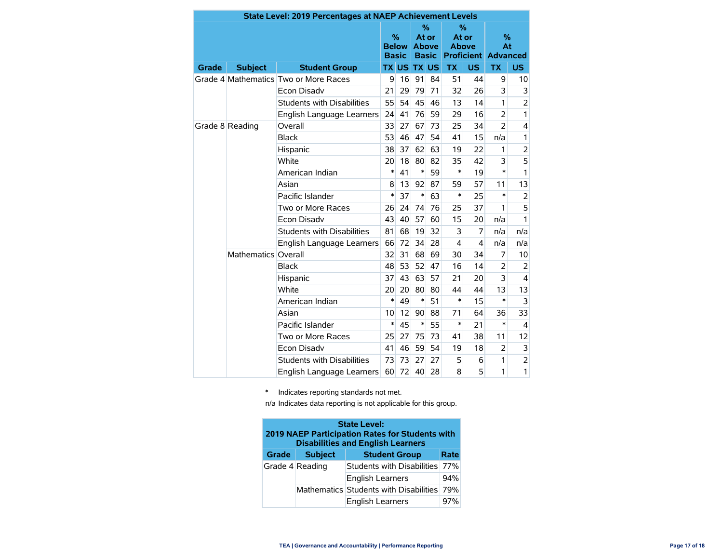|       |                     | <b>State Level: 2019 Percentages at NAEP Achievement Levels</b> |                                      |              |                                            |    |                                                          |                         |                |                |
|-------|---------------------|-----------------------------------------------------------------|--------------------------------------|--------------|--------------------------------------------|----|----------------------------------------------------------|-------------------------|----------------|----------------|
|       |                     |                                                                 | $\%$<br><b>Below</b><br><b>Basic</b> |              | %<br>At or<br><b>Above</b><br><b>Basic</b> |    | %<br>At or<br><b>Above</b><br><b>Proficient Advanced</b> |                         | $\%$<br>At     |                |
| Grade | <b>Subject</b>      | <b>Student Group</b>                                            |                                      | <b>TX US</b> | <b>TX US</b>                               |    | <b>TX</b>                                                | <b>US</b>               | <b>TX</b>      | US.            |
|       |                     | Grade 4 Mathematics Two or More Races                           | 9                                    | 16           | 91                                         | 84 | 51                                                       | 44                      | 9              | 10             |
|       |                     | <b>Econ Disadv</b>                                              | 21                                   | 29           | 79                                         | 71 | 32                                                       | 26                      | 3              | 3              |
|       |                     | <b>Students with Disabilities</b>                               | 55                                   | 54           | 45                                         | 46 | 13                                                       | 14                      | 1              | $\overline{2}$ |
|       |                     | English Language Learners                                       |                                      | 41           | 76                                         | 59 | 29                                                       | 16                      | $\overline{2}$ | 1              |
|       | Grade 8 Reading     | Overall                                                         | 33                                   | 27           | 67                                         | 73 | 25                                                       | 34                      | $\overline{2}$ | 4              |
|       |                     | <b>Black</b>                                                    | 53                                   | 46           | 47                                         | 54 | 41                                                       | 15                      | n/a            | 1              |
|       |                     | Hispanic                                                        | 38                                   | 37           | 62                                         | 63 | 19                                                       | 22                      | 1              | $\overline{c}$ |
|       |                     | White                                                           |                                      | 18           | 80                                         | 82 | 35                                                       | 42                      | 3              | 5              |
|       |                     | American Indian                                                 | $\ast$                               | 41           | $\ast$                                     | 59 | *                                                        | 19                      | $\ast$         | $\mathbf{1}$   |
|       |                     | Asian                                                           | 8                                    | 13           | 92                                         | 87 | 59                                                       | 57                      | 11             | 13             |
|       |                     | Pacific Islander                                                | $\ast$                               | 37           | $\ast$                                     | 63 | *                                                        | 25                      | $\ast$         | $\overline{2}$ |
|       |                     | Two or More Races                                               | 26                                   | 24           | 74                                         | 76 | 25                                                       | 37                      | 1              | 5              |
|       |                     | Econ Disadv                                                     |                                      | 40           | 57                                         | 60 | 15                                                       | 20                      | n/a            | 1              |
|       |                     | <b>Students with Disabilities</b>                               | 81                                   | 68           | 19                                         | 32 | 3                                                        | 7                       | n/a            | n/a            |
|       |                     | English Language Learners                                       | 66                                   | 72           | 34                                         | 28 | 4                                                        | $\overline{\mathbf{4}}$ | n/a            | n/a            |
|       | Mathematics Overall |                                                                 | 32                                   | 31           | 68                                         | 69 | 30                                                       | 34                      | 7              | 10             |
|       |                     | <b>Black</b>                                                    | 48                                   | 53           | 52                                         | 47 | 16                                                       | 14                      | $\overline{2}$ | 2              |
|       |                     | Hispanic                                                        | 37                                   | 43           | 63                                         | 57 | 21                                                       | 20                      | 3              | 4              |
|       |                     | White                                                           | 20                                   | 20           | 80                                         | 80 | 44                                                       | 44                      | 13             | 13             |
|       |                     | American Indian                                                 | $\ast$                               | 49           | $\ast$                                     | 51 | $\ast$                                                   | 15                      | $\ast$         | 3              |
|       |                     | Asian                                                           | 10                                   | 12           | 90                                         | 88 | 71                                                       | 64                      | 36             | 33             |
|       |                     | Pacific Islander                                                | $\ast$                               | 45           | $\ast$                                     | 55 | *                                                        | 21                      | $\ast$         | 4              |
|       |                     | Two or More Races                                               | 25                                   | 27           | 75                                         | 73 | 41                                                       | 38                      | 11             | 12             |
|       |                     | <b>Econ Disadv</b>                                              | 41                                   | 46           | 59                                         | 54 | 19                                                       | 18                      | $\overline{2}$ | 3              |
|       |                     | <b>Students with Disabilities</b>                               | 73                                   | 73           | 27                                         | 27 | 5                                                        | 6                       | 1              | $\overline{c}$ |
|       |                     | English Language Learners                                       | 60                                   | 72           | 40                                         | 28 | 8                                                        | 5                       | 1              | 1              |

\* Indicates reporting standards not met.

n/a Indicates data reporting is not applicable for this group.

| <b>State Level:</b><br>2019 NAEP Participation Rates for Students with<br><b>Disabilities and English Learners</b> |                 |                                            |      |  |  |  |  |
|--------------------------------------------------------------------------------------------------------------------|-----------------|--------------------------------------------|------|--|--|--|--|
| Grade                                                                                                              | <b>Subject</b>  | <b>Student Group</b>                       | Rate |  |  |  |  |
|                                                                                                                    | Grade 4 Reading | Students with Disabilities                 |      |  |  |  |  |
|                                                                                                                    |                 | <b>English Learners</b>                    | 94%  |  |  |  |  |
|                                                                                                                    |                 | Mathematics Students with Disabilities 79% |      |  |  |  |  |
|                                                                                                                    |                 | <b>English Learners</b>                    | 97%  |  |  |  |  |